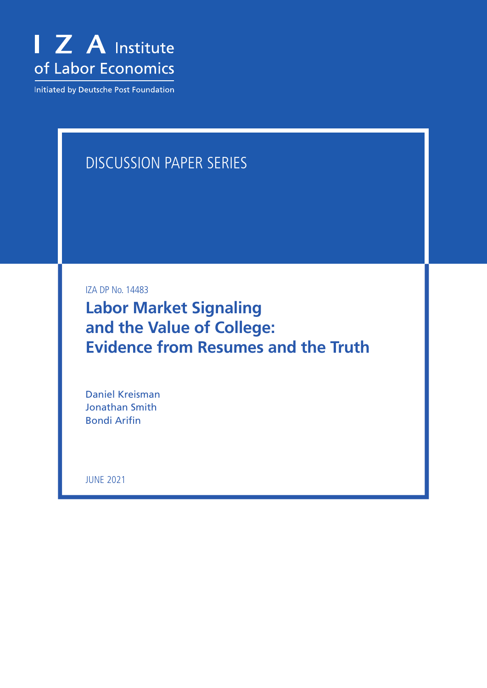

Initiated by Deutsche Post Foundation

## DISCUSSION PAPER SERIES

IZA DP No. 14483

**Labor Market Signaling and the Value of College: Evidence from Resumes and the Truth**

Daniel Kreisman Jonathan Smith Bondi Arifin

JUNE 2021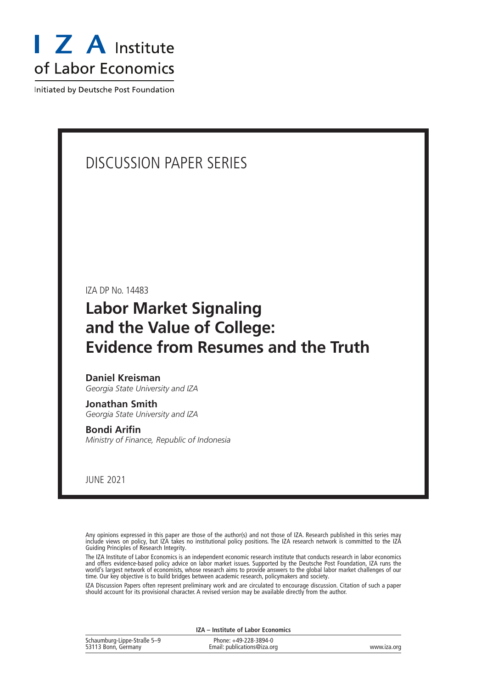

Initiated by Deutsche Post Foundation

## DISCUSSION PAPER SERIES

IZA DP No. 14483

## **Labor Market Signaling and the Value of College: Evidence from Resumes and the Truth**

## **Daniel Kreisman**

*Georgia State University and IZA*

## **Jonathan Smith** *Georgia State University and IZA*

**Bondi Arifin** *Ministry of Finance, Republic of Indonesia*

JUNE 2021

Any opinions expressed in this paper are those of the author(s) and not those of IZA. Research published in this series may include views on policy, but IZA takes no institutional policy positions. The IZA research network is committed to the IZA Guiding Principles of Research Integrity.

The IZA Institute of Labor Economics is an independent economic research institute that conducts research in labor economics and offers evidence-based policy advice on labor market issues. Supported by the Deutsche Post Foundation, IZA runs the world's largest network of economists, whose research aims to provide answers to the global labor market challenges of our time. Our key objective is to build bridges between academic research, policymakers and society.

IZA Discussion Papers often represent preliminary work and are circulated to encourage discussion. Citation of such a paper should account for its provisional character. A revised version may be available directly from the author.

| IZA – Institute of Labor Economics                 |                                                      |             |  |  |  |
|----------------------------------------------------|------------------------------------------------------|-------------|--|--|--|
| Schaumburg-Lippe-Straße 5-9<br>53113 Bonn, Germany | Phone: +49-228-3894-0<br>Email: publications@iza.org | www.iza.org |  |  |  |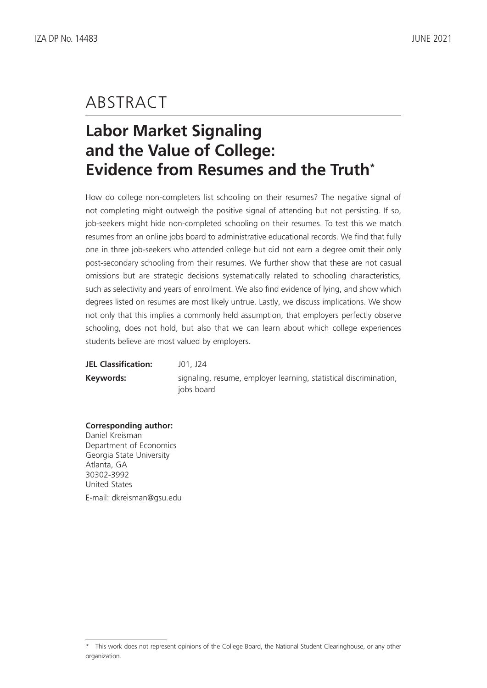## ABSTRACT

# **Labor Market Signaling and the Value of College: Evidence from Resumes and the Truth\***

How do college non-completers list schooling on their resumes? The negative signal of not completing might outweigh the positive signal of attending but not persisting. If so, job-seekers might hide non-completed schooling on their resumes. To test this we match resumes from an online jobs board to administrative educational records. We find that fully one in three job-seekers who attended college but did not earn a degree omit their only post-secondary schooling from their resumes. We further show that these are not casual omissions but are strategic decisions systematically related to schooling characteristics, such as selectivity and years of enrollment. We also find evidence of lying, and show which degrees listed on resumes are most likely untrue. Lastly, we discuss implications. We show not only that this implies a commonly held assumption, that employers perfectly observe schooling, does not hold, but also that we can learn about which college experiences students believe are most valued by employers.

**JEL Classification:** J01, J24 **Keywords:** signaling, resume, employer learning, statistical discrimination, jobs board

## **Corresponding author:**

Daniel Kreisman Department of Economics Georgia State University Atlanta, GA 30302-3992 United States E-mail: dkreisman@gsu.edu

<sup>\*</sup> This work does not represent opinions of the College Board, the National Student Clearinghouse, or any other organization.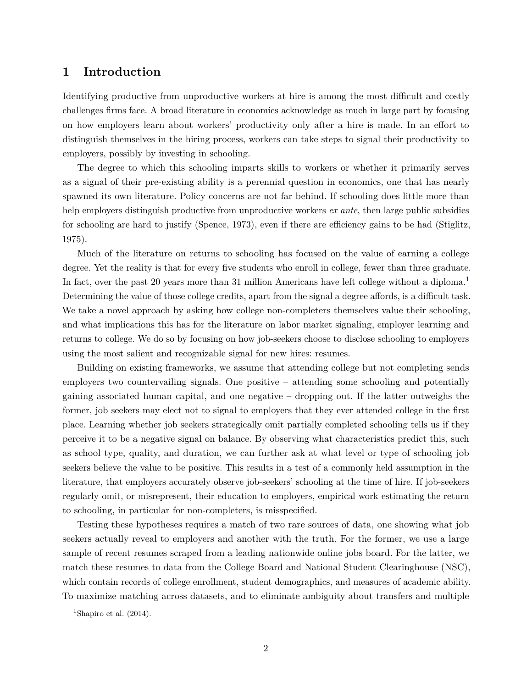## **1 Introduction**

Identifying productive from unproductive workers at hire is among the most difficult and costly challenges firms face. A broad literature in economics acknowledge as much in large part by focusing on how employers learn about workers' productivity only after a hire is made. In an effort to distinguish themselves in the hiring process, workers can take steps to signal their productivity to employers, possibly by investing in schooling.

The degree to which this schooling imparts skills to workers or whether it primarily serves as a signal of their pre-existing ability is a perennial question in economics, one that has nearly spawned its own literature. Policy concerns are not far behind. If schooling does little more than help employers distinguish productive from unproductive workers *ex ante*, then large public subsidies for schooling are hard to justify [\(Spence, 1973\)](#page-25-0), even if there are efficiency gains to be had [\(Stiglitz,](#page-25-1) [1975\)](#page-25-1).

Much of the literature on returns to schooling has focused on the value of earning a college degree. Yet the reality is that for every five students who enroll in college, fewer than three graduate. In fact, over the past 20 years more than 3[1](#page-3-0) million Americans have left college without a diploma.<sup>1</sup> Determining the value of those college credits, apart from the signal a degree affords, is a difficult task. We take a novel approach by asking how college non-completers themselves value their schooling, and what implications this has for the literature on labor market signaling, employer learning and returns to college. We do so by focusing on how job-seekers choose to disclose schooling to employers using the most salient and recognizable signal for new hires: resumes.

Building on existing frameworks, we assume that attending college but not completing sends employers two countervailing signals. One positive – attending some schooling and potentially gaining associated human capital, and one negative – dropping out. If the latter outweighs the former, job seekers may elect not to signal to employers that they ever attended college in the first place. Learning whether job seekers strategically omit partially completed schooling tells us if they perceive it to be a negative signal on balance. By observing what characteristics predict this, such as school type, quality, and duration, we can further ask at what level or type of schooling job seekers believe the value to be positive. This results in a test of a commonly held assumption in the literature, that employers accurately observe job-seekers' schooling at the time of hire. If job-seekers regularly omit, or misrepresent, their education to employers, empirical work estimating the return to schooling, in particular for non-completers, is misspecified.

Testing these hypotheses requires a match of two rare sources of data, one showing what job seekers actually reveal to employers and another with the truth. For the former, we use a large sample of recent resumes scraped from a leading nationwide online jobs board. For the latter, we match these resumes to data from the College Board and National Student Clearinghouse (NSC), which contain records of college enrollment, student demographics, and measures of academic ability. To maximize matching across datasets, and to eliminate ambiguity about transfers and multiple

<span id="page-3-0"></span><sup>&</sup>lt;sup>1</sup>[Shapiro et al.](#page-25-2)  $(2014)$ .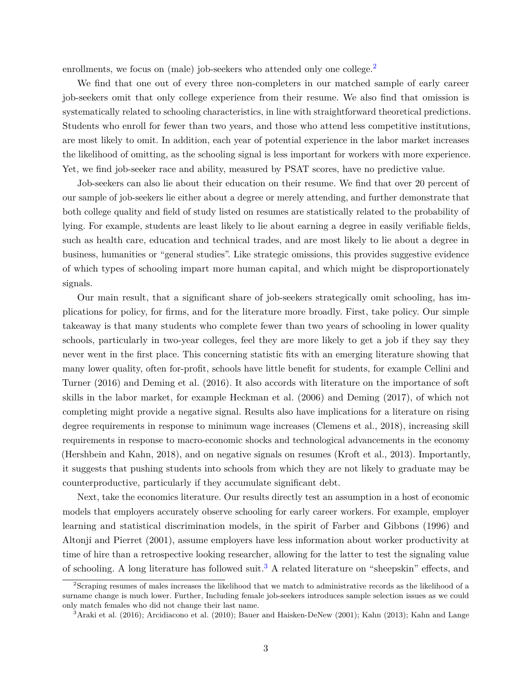enrollments, we focus on (male) job-seekers who attended only one college.<sup>[2](#page-4-0)</sup>

We find that one out of every three non-completers in our matched sample of early career job-seekers omit that only college experience from their resume. We also find that omission is systematically related to schooling characteristics, in line with straightforward theoretical predictions. Students who enroll for fewer than two years, and those who attend less competitive institutions, are most likely to omit. In addition, each year of potential experience in the labor market increases the likelihood of omitting, as the schooling signal is less important for workers with more experience. Yet, we find job-seeker race and ability, measured by PSAT scores, have no predictive value.

Job-seekers can also lie about their education on their resume. We find that over 20 percent of our sample of job-seekers lie either about a degree or merely attending, and further demonstrate that both college quality and field of study listed on resumes are statistically related to the probability of lying. For example, students are least likely to lie about earning a degree in easily verifiable fields, such as health care, education and technical trades, and are most likely to lie about a degree in business, humanities or "general studies". Like strategic omissions, this provides suggestive evidence of which types of schooling impart more human capital, and which might be disproportionately signals.

Our main result, that a significant share of job-seekers strategically omit schooling, has implications for policy, for firms, and for the literature more broadly. First, take policy. Our simple takeaway is that many students who complete fewer than two years of schooling in lower quality schools, particularly in two-year colleges, feel they are more likely to get a job if they say they never went in the first place. This concerning statistic fits with an emerging literature showing that many lower quality, often for-profit, schools have little benefit for students, for example [Cellini and](#page-23-0) [Turner \(2016\)](#page-23-0) and [Deming et al. \(2016\)](#page-23-1). It also accords with literature on the importance of soft skills in the labor market, for example [Heckman et al. \(2006\)](#page-23-2) and [Deming \(2017\)](#page-23-3), of which not completing might provide a negative signal. Results also have implications for a literature on rising degree requirements in response to minimum wage increases [\(Clemens et al., 2018\)](#page-23-4), increasing skill requirements in response to macro-economic shocks and technological advancements in the economy [\(Hershbein and Kahn, 2018\)](#page-24-0), and on negative signals on resumes [\(Kroft et al., 2013\)](#page-24-1). Importantly, it suggests that pushing students into schools from which they are not likely to graduate may be counterproductive, particularly if they accumulate significant debt.

Next, take the economics literature. Our results directly test an assumption in a host of economic models that employers accurately observe schooling for early career workers. For example, employer learning and statistical discrimination models, in the spirit of [Farber and Gibbons \(1996\)](#page-23-5) and [Altonji and Pierret \(2001\)](#page-23-6), assume employers have less information about worker productivity at time of hire than a retrospective looking researcher, allowing for the latter to test the signaling value of schooling. A long literature has followed suit.<sup>[3](#page-4-1)</sup> A related literature on "sheepskin" effects, and

<span id="page-4-0"></span><sup>2</sup>Scraping resumes of males increases the likelihood that we match to administrative records as the likelihood of a surname change is much lower. Further, Including female job-seekers introduces sample selection issues as we could only match females who did not change their last name.

<span id="page-4-1"></span><sup>3</sup>[Araki et al. \(2016\)](#page-23-7); [Arcidiacono et al.](#page-23-8) [\(2010\)](#page-23-8); [Bauer and Haisken-DeNew \(2001\)](#page-23-9); [Kahn \(2013\)](#page-24-2); [Kahn and Lange](#page-24-3)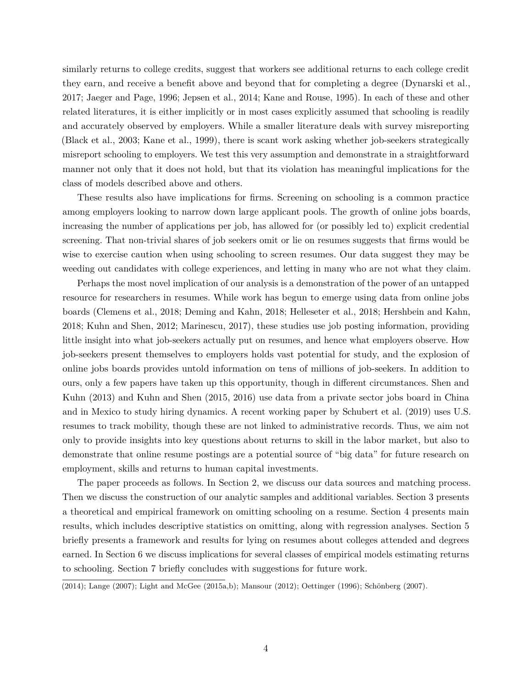similarly returns to college credits, suggest that workers see additional returns to each college credit they earn, and receive a benefit above and beyond that for completing a degree [\(Dynarski et al.,](#page-23-10) [2017;](#page-23-10) [Jaeger and Page, 1996;](#page-24-4) [Jepsen et al., 2014;](#page-24-5) [Kane and Rouse, 1995\)](#page-24-6). In each of these and other related literatures, it is either implicitly or in most cases explicitly assumed that schooling is readily and accurately observed by employers. While a smaller literature deals with survey misreporting [\(Black et al., 2003;](#page-23-11) [Kane et al., 1999\)](#page-24-7), there is scant work asking whether job-seekers strategically misreport schooling to employers. We test this very assumption and demonstrate in a straightforward manner not only that it does not hold, but that its violation has meaningful implications for the class of models described above and others.

These results also have implications for firms. Screening on schooling is a common practice among employers looking to narrow down large applicant pools. The growth of online jobs boards, increasing the number of applications per job, has allowed for (or possibly led to) explicit credential screening. That non-trivial shares of job seekers omit or lie on resumes suggests that firms would be wise to exercise caution when using schooling to screen resumes. Our data suggest they may be weeding out candidates with college experiences, and letting in many who are not what they claim.

Perhaps the most novel implication of our analysis is a demonstration of the power of an untapped resource for researchers in resumes. While work has begun to emerge using data from online jobs boards [\(Clemens et al., 2018;](#page-23-4) [Deming and Kahn, 2018;](#page-23-12) [Helleseter et al., 2018;](#page-24-8) [Hershbein and Kahn,](#page-24-0) [2018;](#page-24-0) [Kuhn and Shen, 2012;](#page-24-9) [Marinescu, 2017\)](#page-25-3), these studies use job posting information, providing little insight into what job-seekers actually put on resumes, and hence what employers observe. How job-seekers present themselves to employers holds vast potential for study, and the explosion of online jobs boards provides untold information on tens of millions of job-seekers. In addition to ours, only a few papers have taken up this opportunity, though in different circumstances. [Shen and](#page-25-4) [Kuhn \(2013\)](#page-25-4) and [Kuhn and Shen \(2015,](#page-24-10) [2016\)](#page-24-11) use data from a private sector jobs board in China and in Mexico to study hiring dynamics. A recent working paper by [Schubert et al. \(2019\)](#page-25-5) uses U.S. resumes to track mobility, though these are not linked to administrative records. Thus, we aim not only to provide insights into key questions about returns to skill in the labor market, but also to demonstrate that online resume postings are a potential source of "big data" for future research on employment, skills and returns to human capital investments.

The paper proceeds as follows. In Section 2, we discuss our data sources and matching process. Then we discuss the construction of our analytic samples and additional variables. Section 3 presents a theoretical and empirical framework on omitting schooling on a resume. Section 4 presents main results, which includes descriptive statistics on omitting, along with regression analyses. Section 5 briefly presents a framework and results for lying on resumes about colleges attended and degrees earned. In Section 6 we discuss implications for several classes of empirical models estimating returns to schooling. Section 7 briefly concludes with suggestions for future work.

[<sup>\(2014\)</sup>](#page-24-3); [Lange](#page-24-12) [\(2007\)](#page-25-7); [Light and McGee](#page-24-13) [\(2015a](#page-24-13)[,b\)](#page-24-14); [Mansour \(2012\)](#page-24-15); [Oettinger \(1996\)](#page-25-6); Schönberg (2007).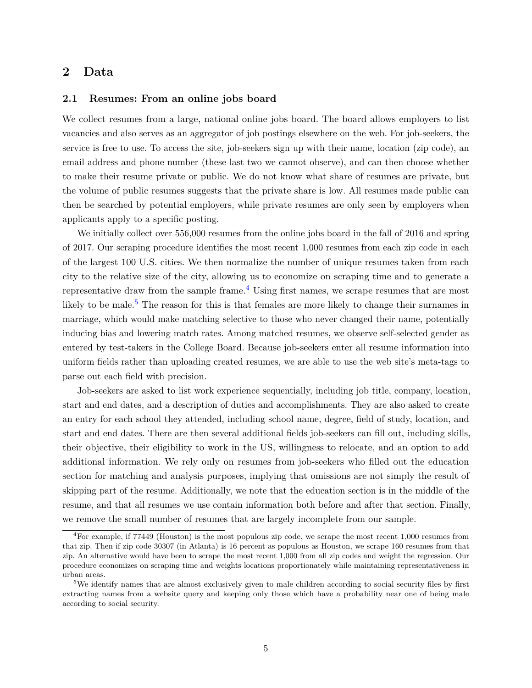## **2 Data**

### **2.1 Resumes: From an online jobs board**

We collect resumes from a large, national online jobs board. The board allows employers to list vacancies and also serves as an aggregator of job postings elsewhere on the web. For job-seekers, the service is free to use. To access the site, job-seekers sign up with their name, location (zip code), an email address and phone number (these last two we cannot observe), and can then choose whether to make their resume private or public. We do not know what share of resumes are private, but the volume of public resumes suggests that the private share is low. All resumes made public can then be searched by potential employers, while private resumes are only seen by employers when applicants apply to a specific posting.

We initially collect over 556,000 resumes from the online jobs board in the fall of 2016 and spring of 2017. Our scraping procedure identifies the most recent 1,000 resumes from each zip code in each of the largest 100 U.S. cities. We then normalize the number of unique resumes taken from each city to the relative size of the city, allowing us to economize on scraping time and to generate a representative draw from the sample frame.<sup>[4](#page-6-0)</sup> Using first names, we scrape resumes that are most likely to be male.<sup>[5](#page-6-1)</sup> The reason for this is that females are more likely to change their surnames in marriage, which would make matching selective to those who never changed their name, potentially inducing bias and lowering match rates. Among matched resumes, we observe self-selected gender as entered by test-takers in the College Board. Because job-seekers enter all resume information into uniform fields rather than uploading created resumes, we are able to use the web site's meta-tags to parse out each field with precision.

Job-seekers are asked to list work experience sequentially, including job title, company, location, start and end dates, and a description of duties and accomplishments. They are also asked to create an entry for each school they attended, including school name, degree, field of study, location, and start and end dates. There are then several additional fields job-seekers can fill out, including skills, their objective, their eligibility to work in the US, willingness to relocate, and an option to add additional information. We rely only on resumes from job-seekers who filled out the education section for matching and analysis purposes, implying that omissions are not simply the result of skipping part of the resume. Additionally, we note that the education section is in the middle of the resume, and that all resumes we use contain information both before and after that section. Finally, we remove the small number of resumes that are largely incomplete from our sample.

<span id="page-6-0"></span><sup>&</sup>lt;sup>4</sup>For example, if 77449 (Houston) is the most populous zip code, we scrape the most recent 1,000 resumes from that zip. Then if zip code 30307 (in Atlanta) is 16 percent as populous as Houston, we scrape 160 resumes from that zip. An alternative would have been to scrape the most recent 1,000 from all zip codes and weight the regression. Our procedure economizes on scraping time and weights locations proportionately while maintaining representativeness in urban areas.

<span id="page-6-1"></span><sup>5</sup>We identify names that are almost exclusively given to male children according to social security files by first extracting names from a website query and keeping only those which have a probability near one of being male according to social security.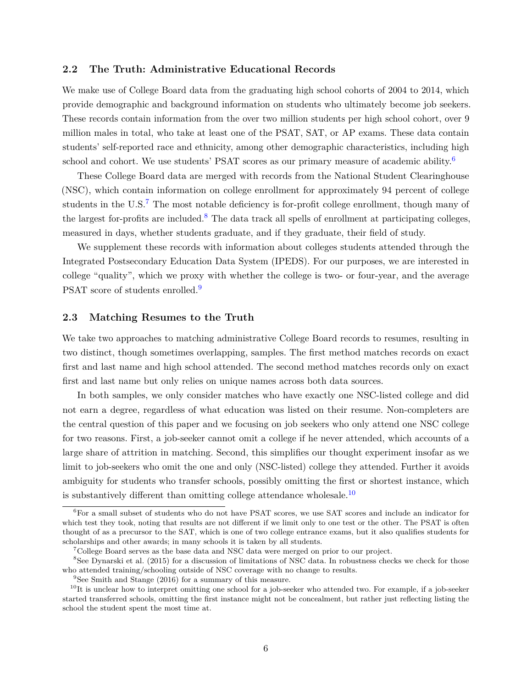#### **2.2 The Truth: Administrative Educational Records**

We make use of College Board data from the graduating high school cohorts of 2004 to 2014, which provide demographic and background information on students who ultimately become job seekers. These records contain information from the over two million students per high school cohort, over 9 million males in total, who take at least one of the PSAT, SAT, or AP exams. These data contain students' self-reported race and ethnicity, among other demographic characteristics, including high school and cohort. We use students' PSAT scores as our primary measure of academic ability.<sup>[6](#page-7-0)</sup>

These College Board data are merged with records from the National Student Clearinghouse (NSC), which contain information on college enrollment for approximately 94 percent of college students in the U.S.<sup>[7](#page-7-1)</sup> The most notable deficiency is for-profit college enrollment, though many of the largest for-profits are included.<sup>[8](#page-7-2)</sup> The data track all spells of enrollment at participating colleges, measured in days, whether students graduate, and if they graduate, their field of study.

We supplement these records with information about colleges students attended through the Integrated Postsecondary Education Data System (IPEDS). For our purposes, we are interested in college "quality", which we proxy with whether the college is two- or four-year, and the average PSAT score of students enrolled.<sup>[9](#page-7-3)</sup>

#### **2.3 Matching Resumes to the Truth**

We take two approaches to matching administrative College Board records to resumes, resulting in two distinct, though sometimes overlapping, samples. The first method matches records on exact first and last name and high school attended. The second method matches records only on exact first and last name but only relies on unique names across both data sources.

In both samples, we only consider matches who have exactly one NSC-listed college and did not earn a degree, regardless of what education was listed on their resume. Non-completers are the central question of this paper and we focusing on job seekers who only attend one NSC college for two reasons. First, a job-seeker cannot omit a college if he never attended, which accounts of a large share of attrition in matching. Second, this simplifies our thought experiment insofar as we limit to job-seekers who omit the one and only (NSC-listed) college they attended. Further it avoids ambiguity for students who transfer schools, possibly omitting the first or shortest instance, which is substantively different than omitting college attendance wholesale.<sup>[10](#page-7-4)</sup>

<span id="page-7-0"></span><sup>6</sup>For a small subset of students who do not have PSAT scores, we use SAT scores and include an indicator for which test they took, noting that results are not different if we limit only to one test or the other. The PSAT is often thought of as a precursor to the SAT, which is one of two college entrance exams, but it also qualifies students for scholarships and other awards; in many schools it is taken by all students.

<span id="page-7-2"></span><span id="page-7-1"></span> $7$ College Board serves as the base data and NSC data were merged on prior to our project.

<sup>8</sup>See [Dynarski et al.](#page-23-13) [\(2015\)](#page-23-13) for a discussion of limitations of NSC data. In robustness checks we check for those who attended training/schooling outside of NSC coverage with no change to results.

<span id="page-7-4"></span><span id="page-7-3"></span><sup>&</sup>lt;sup>9</sup>See [Smith and Stange](#page-25-8) [\(2016\)](#page-25-8) for a summary of this measure.

 $10$ It is unclear how to interpret omitting one school for a job-seeker who attended two. For example, if a job-seeker started transferred schools, omitting the first instance might not be concealment, but rather just reflecting listing the school the student spent the most time at.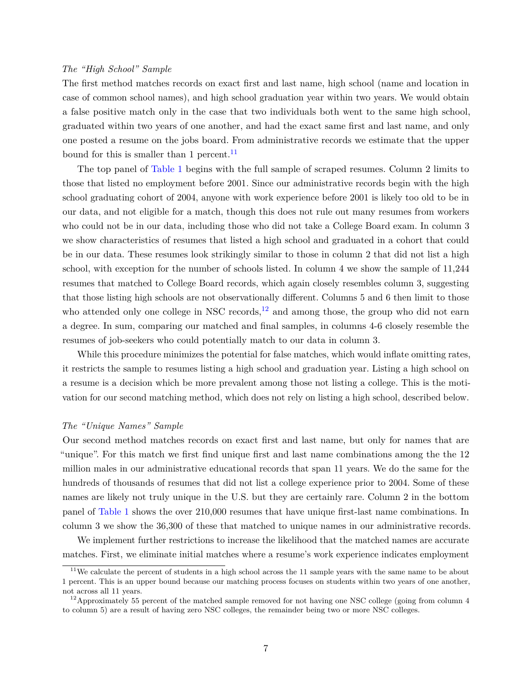### *The "High School" Sample*

The first method matches records on exact first and last name, high school (name and location in case of common school names), and high school graduation year within two years. We would obtain a false positive match only in the case that two individuals both went to the same high school, graduated within two years of one another, and had the exact same first and last name, and only one posted a resume on the jobs board. From administrative records we estimate that the upper bound for this is smaller than 1 percent.<sup>[11](#page-8-0)</sup>

The top panel of [Table 1](#page-27-0) begins with the full sample of scraped resumes. Column 2 limits to those that listed no employment before 2001. Since our administrative records begin with the high school graduating cohort of 2004, anyone with work experience before 2001 is likely too old to be in our data, and not eligible for a match, though this does not rule out many resumes from workers who could not be in our data, including those who did not take a College Board exam. In column 3 we show characteristics of resumes that listed a high school and graduated in a cohort that could be in our data. These resumes look strikingly similar to those in column 2 that did not list a high school, with exception for the number of schools listed. In column 4 we show the sample of 11,244 resumes that matched to College Board records, which again closely resembles column 3, suggesting that those listing high schools are not observationally different. Columns 5 and 6 then limit to those who attended only one college in NSC records,  $^{12}$  $^{12}$  $^{12}$  and among those, the group who did not earn a degree. In sum, comparing our matched and final samples, in columns 4-6 closely resemble the resumes of job-seekers who could potentially match to our data in column 3.

While this procedure minimizes the potential for false matches, which would inflate omitting rates, it restricts the sample to resumes listing a high school and graduation year. Listing a high school on a resume is a decision which be more prevalent among those not listing a college. This is the motivation for our second matching method, which does not rely on listing a high school, described below.

#### *The "Unique Names" Sample*

Our second method matches records on exact first and last name, but only for names that are "unique". For this match we first find unique first and last name combinations among the the 12 million males in our administrative educational records that span 11 years. We do the same for the hundreds of thousands of resumes that did not list a college experience prior to 2004. Some of these names are likely not truly unique in the U.S. but they are certainly rare. Column 2 in the bottom panel of [Table 1](#page-27-0) shows the over 210,000 resumes that have unique first-last name combinations. In column 3 we show the 36,300 of these that matched to unique names in our administrative records.

We implement further restrictions to increase the likelihood that the matched names are accurate matches. First, we eliminate initial matches where a resume's work experience indicates employment

<span id="page-8-0"></span> $11$ We calculate the percent of students in a high school across the 11 sample years with the same name to be about 1 percent. This is an upper bound because our matching process focuses on students within two years of one another, not across all 11 years.

<span id="page-8-1"></span><sup>&</sup>lt;sup>12</sup>Approximately 55 percent of the matched sample removed for not having one NSC college (going from column 4 to column 5) are a result of having zero NSC colleges, the remainder being two or more NSC colleges.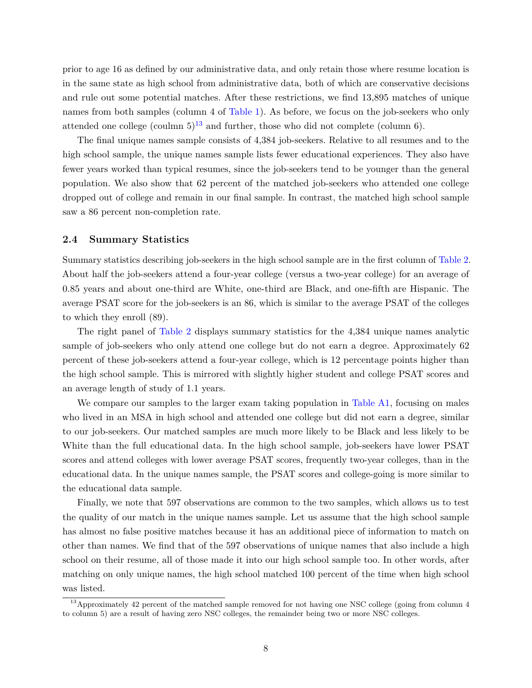prior to age 16 as defined by our administrative data, and only retain those where resume location is in the same state as high school from administrative data, both of which are conservative decisions and rule out some potential matches. After these restrictions, we find 13,895 matches of unique names from both samples (column 4 of [Table 1\)](#page-27-0). As before, we focus on the job-seekers who only attended one college (coulmn  $5^{13}$  $5^{13}$  $5^{13}$  and further, those who did not complete (column 6).

The final unique names sample consists of 4,384 job-seekers. Relative to all resumes and to the high school sample, the unique names sample lists fewer educational experiences. They also have fewer years worked than typical resumes, since the job-seekers tend to be younger than the general population. We also show that 62 percent of the matched job-seekers who attended one college dropped out of college and remain in our final sample. In contrast, the matched high school sample saw a 86 percent non-completion rate.

#### **2.4 Summary Statistics**

Summary statistics describing job-seekers in the high school sample are in the first column of [Table 2.](#page-28-0) About half the job-seekers attend a four-year college (versus a two-year college) for an average of 0.85 years and about one-third are White, one-third are Black, and one-fifth are Hispanic. The average PSAT score for the job-seekers is an 86, which is similar to the average PSAT of the colleges to which they enroll (89).

The right panel of [Table 2](#page-28-0) displays summary statistics for the 4,384 unique names analytic sample of job-seekers who only attend one college but do not earn a degree. Approximately 62 percent of these job-seekers attend a four-year college, which is 12 percentage points higher than the high school sample. This is mirrored with slightly higher student and college PSAT scores and an average length of study of 1.1 years.

We compare our samples to the larger exam taking population in [Table A1,](#page-34-0) focusing on males who lived in an MSA in high school and attended one college but did not earn a degree, similar to our job-seekers. Our matched samples are much more likely to be Black and less likely to be White than the full educational data. In the high school sample, job-seekers have lower PSAT scores and attend colleges with lower average PSAT scores, frequently two-year colleges, than in the educational data. In the unique names sample, the PSAT scores and college-going is more similar to the educational data sample.

Finally, we note that 597 observations are common to the two samples, which allows us to test the quality of our match in the unique names sample. Let us assume that the high school sample has almost no false positive matches because it has an additional piece of information to match on other than names. We find that of the 597 observations of unique names that also include a high school on their resume, all of those made it into our high school sample too. In other words, after matching on only unique names, the high school matched 100 percent of the time when high school was listed.

<span id="page-9-0"></span><sup>&</sup>lt;sup>13</sup>Approximately 42 percent of the matched sample removed for not having one NSC college (going from column 4 to column 5) are a result of having zero NSC colleges, the remainder being two or more NSC colleges.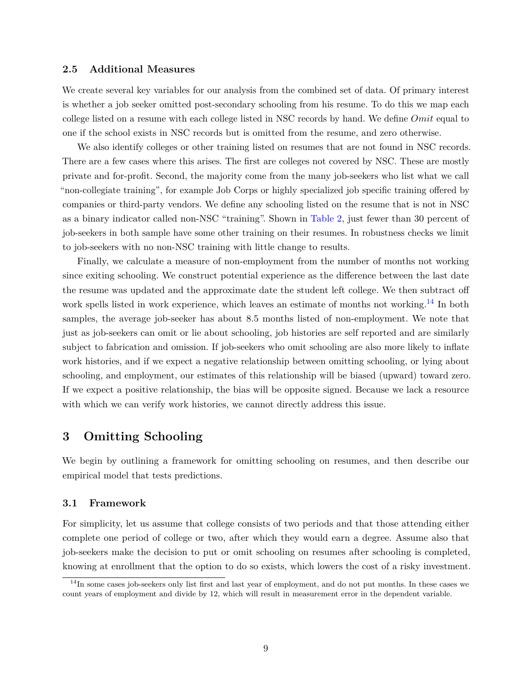#### **2.5 Additional Measures**

We create several key variables for our analysis from the combined set of data. Of primary interest is whether a job seeker omitted post-secondary schooling from his resume. To do this we map each college listed on a resume with each college listed in NSC records by hand. We define *Omit* equal to one if the school exists in NSC records but is omitted from the resume, and zero otherwise.

We also identify colleges or other training listed on resumes that are not found in NSC records. There are a few cases where this arises. The first are colleges not covered by NSC. These are mostly private and for-profit. Second, the majority come from the many job-seekers who list what we call "non-collegiate training", for example Job Corps or highly specialized job specific training offered by companies or third-party vendors. We define any schooling listed on the resume that is not in NSC as a binary indicator called non-NSC "training". Shown in [Table 2,](#page-28-0) just fewer than 30 percent of job-seekers in both sample have some other training on their resumes. In robustness checks we limit to job-seekers with no non-NSC training with little change to results.

Finally, we calculate a measure of non-employment from the number of months not working since exiting schooling. We construct potential experience as the difference between the last date the resume was updated and the approximate date the student left college. We then subtract off work spells listed in work experience, which leaves an estimate of months not working.<sup>[14](#page-10-0)</sup> In both samples, the average job-seeker has about 8.5 months listed of non-employment. We note that just as job-seekers can omit or lie about schooling, job histories are self reported and are similarly subject to fabrication and omission. If job-seekers who omit schooling are also more likely to inflate work histories, and if we expect a negative relationship between omitting schooling, or lying about schooling, and employment, our estimates of this relationship will be biased (upward) toward zero. If we expect a positive relationship, the bias will be opposite signed. Because we lack a resource with which we can verify work histories, we cannot directly address this issue.

## **3 Omitting Schooling**

We begin by outlining a framework for omitting schooling on resumes, and then describe our empirical model that tests predictions.

## **3.1 Framework**

For simplicity, let us assume that college consists of two periods and that those attending either complete one period of college or two, after which they would earn a degree. Assume also that job-seekers make the decision to put or omit schooling on resumes after schooling is completed, knowing at enrollment that the option to do so exists, which lowers the cost of a risky investment.

<span id="page-10-0"></span> $14$ In some cases job-seekers only list first and last year of employment, and do not put months. In these cases we count years of employment and divide by 12, which will result in measurement error in the dependent variable.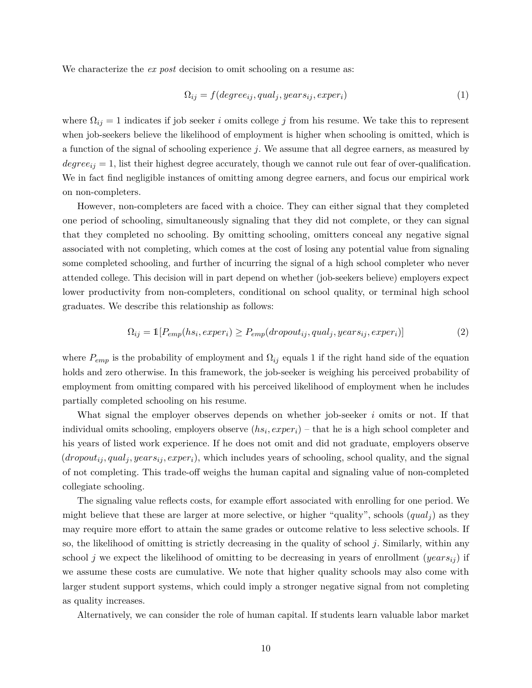We characterize the *ex post* decision to omit schooling on a resume as:

$$
\Omega_{ij} = f(degree_{ij}, qual_j, years_{ij}, exper_i)
$$
\n(1)

where  $\Omega_{ij} = 1$  indicates if job seeker *i* omits college *j* from his resume. We take this to represent when job-seekers believe the likelihood of employment is higher when schooling is omitted, which is a function of the signal of schooling experience *j*. We assume that all degree earners, as measured by  $degree_{ij} = 1$ , list their highest degree accurately, though we cannot rule out fear of over-qualification. We in fact find negligible instances of omitting among degree earners, and focus our empirical work on non-completers.

However, non-completers are faced with a choice. They can either signal that they completed one period of schooling, simultaneously signaling that they did not complete, or they can signal that they completed no schooling. By omitting schooling, omitters conceal any negative signal associated with not completing, which comes at the cost of losing any potential value from signaling some completed schooling, and further of incurring the signal of a high school completer who never attended college. This decision will in part depend on whether (job-seekers believe) employers expect lower productivity from non-completers, conditional on school quality, or terminal high school graduates. We describe this relationship as follows:

$$
\Omega_{ij} = \mathbb{1}[P_{emp}(hs_i, expert_i) \ge P_{emp}(dropout_{ij}, qual_j, years_{ij}, expert_i)]
$$
\n(2)

where  $P_{emp}$  is the probability of employment and  $\Omega_{ij}$  equals 1 if the right hand side of the equation holds and zero otherwise. In this framework, the job-seeker is weighing his perceived probability of employment from omitting compared with his perceived likelihood of employment when he includes partially completed schooling on his resume.

What signal the employer observes depends on whether job-seeker *i* omits or not. If that individual omits schooling, employers observe (*hs<sup>i</sup> , experi*) – that he is a high school completer and his years of listed work experience. If he does not omit and did not graduate, employers observe  $(dropout_{ij}, qual_j, years_{ij}, expert_i)$ , which includes years of schooling, school quality, and the signal of not completing. This trade-off weighs the human capital and signaling value of non-completed collegiate schooling.

The signaling value reflects costs, for example effort associated with enrolling for one period. We might believe that these are larger at more selective, or higher "quality", schools  $(qual<sub>i</sub>)$  as they may require more effort to attain the same grades or outcome relative to less selective schools. If so, the likelihood of omitting is strictly decreasing in the quality of school *j*. Similarly, within any school *j* we expect the likelihood of omitting to be decreasing in years of enrollment (*yearsij* ) if we assume these costs are cumulative. We note that higher quality schools may also come with larger student support systems, which could imply a stronger negative signal from not completing as quality increases.

Alternatively, we can consider the role of human capital. If students learn valuable labor market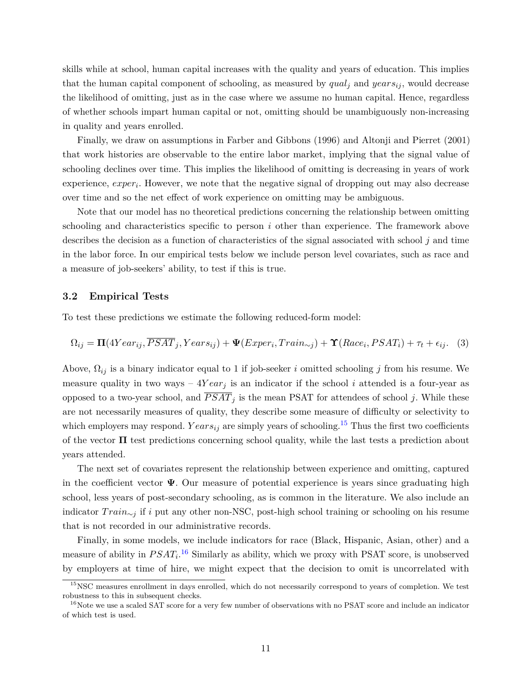skills while at school, human capital increases with the quality and years of education. This implies that the human capital component of schooling, as measured by *qual<sup>j</sup>* and *yearsij* , would decrease the likelihood of omitting, just as in the case where we assume no human capital. Hence, regardless of whether schools impart human capital or not, omitting should be unambiguously non-increasing in quality and years enrolled.

Finally, we draw on assumptions in [Farber and Gibbons \(1996\)](#page-23-5) and [Altonji and Pierret \(2001\)](#page-23-6) that work histories are observable to the entire labor market, implying that the signal value of schooling declines over time. This implies the likelihood of omitting is decreasing in years of work experience, *exper<sup>i</sup>* . However, we note that the negative signal of dropping out may also decrease over time and so the net effect of work experience on omitting may be ambiguous.

Note that our model has no theoretical predictions concerning the relationship between omitting schooling and characteristics specific to person *i* other than experience. The framework above describes the decision as a function of characteristics of the signal associated with school *j* and time in the labor force. In our empirical tests below we include person level covariates, such as race and a measure of job-seekers' ability, to test if this is true.

#### **3.2 Empirical Tests**

To test these predictions we estimate the following reduced-form model:

<span id="page-12-2"></span>
$$
\Omega_{ij} = \Pi(4Year_{ij}, \overline{PSAT}_j, Years_{ij}) + \Psi(Exper_i, Train_{\sim j}) + \Upsilon(Race_i, PSAT_i) + \tau_t + \epsilon_{ij}.
$$
 (3)

Above, Ω*ij* is a binary indicator equal to 1 if job-seeker *i* omitted schooling *j* from his resume. We measure quality in two ways  $-4Year_j$  is an indicator if the school *i* attended is a four-year as opposed to a two-year school, and  $\overline{PSAT}_j$  is the mean PSAT for attendees of school *j*. While these are not necessarily measures of quality, they describe some measure of difficulty or selectivity to which employers may respond.  $Years_{ij}$  are simply years of schooling.<sup>[15](#page-12-0)</sup> Thus the first two coefficients of the vector  $\Pi$  test predictions concerning school quality, while the last tests a prediction about years attended.

The next set of covariates represent the relationship between experience and omitting, captured in the coefficient vector **Ψ**. Our measure of potential experience is years since graduating high school, less years of post-secondary schooling, as is common in the literature. We also include an indicator *T rain*∼*<sup>j</sup>* if *i* put any other non-NSC, post-high school training or schooling on his resume that is not recorded in our administrative records.

Finally, in some models, we include indicators for race (Black, Hispanic, Asian, other) and a measure of ability in  $PSAT_i$ <sup>[16](#page-12-1)</sup> Similarly as ability, which we proxy with PSAT score, is unobserved by employers at time of hire, we might expect that the decision to omit is uncorrelated with

<span id="page-12-0"></span><sup>&</sup>lt;sup>15</sup>NSC measures enrollment in days enrolled, which do not necessarily correspond to years of completion. We test robustness to this in subsequent checks.

<span id="page-12-1"></span><sup>&</sup>lt;sup>16</sup>Note we use a scaled SAT score for a very few number of observations with no PSAT score and include an indicator of which test is used.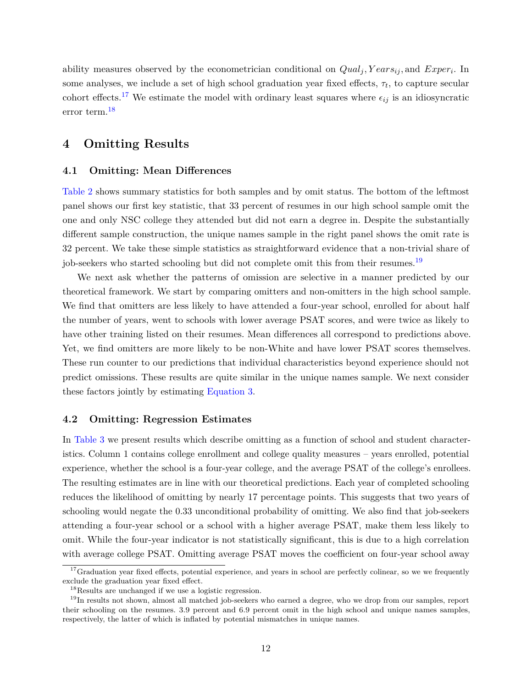ability measures observed by the econometrician conditional on *Qual<sup>j</sup> , Y earsij ,* and *Exper<sup>i</sup>* . In some analyses, we include a set of high school graduation year fixed effects,  $\tau_t$ , to capture secular cohort effects.<sup>[17](#page-13-0)</sup> We estimate the model with ordinary least squares where  $\epsilon_{ij}$  is an idiosyncratic error term.[18](#page-13-1)

## **4 Omitting Results**

### **4.1 Omitting: Mean Differences**

[Table 2](#page-28-0) shows summary statistics for both samples and by omit status. The bottom of the leftmost panel shows our first key statistic, that 33 percent of resumes in our high school sample omit the one and only NSC college they attended but did not earn a degree in. Despite the substantially different sample construction, the unique names sample in the right panel shows the omit rate is 32 percent. We take these simple statistics as straightforward evidence that a non-trivial share of job-seekers who started schooling but did not complete omit this from their resumes.<sup>[19](#page-13-2)</sup>

We next ask whether the patterns of omission are selective in a manner predicted by our theoretical framework. We start by comparing omitters and non-omitters in the high school sample. We find that omitters are less likely to have attended a four-year school, enrolled for about half the number of years, went to schools with lower average PSAT scores, and were twice as likely to have other training listed on their resumes. Mean differences all correspond to predictions above. Yet, we find omitters are more likely to be non-White and have lower PSAT scores themselves. These run counter to our predictions that individual characteristics beyond experience should not predict omissions. These results are quite similar in the unique names sample. We next consider these factors jointly by estimating [Equation 3.](#page-12-2)

#### **4.2 Omitting: Regression Estimates**

In [Table 3](#page-29-0) we present results which describe omitting as a function of school and student characteristics. Column 1 contains college enrollment and college quality measures – years enrolled, potential experience, whether the school is a four-year college, and the average PSAT of the college's enrollees. The resulting estimates are in line with our theoretical predictions. Each year of completed schooling reduces the likelihood of omitting by nearly 17 percentage points. This suggests that two years of schooling would negate the 0.33 unconditional probability of omitting. We also find that job-seekers attending a four-year school or a school with a higher average PSAT, make them less likely to omit. While the four-year indicator is not statistically significant, this is due to a high correlation with average college PSAT. Omitting average PSAT moves the coefficient on four-year school away

<span id="page-13-0"></span> $17$ Graduation year fixed effects, potential experience, and years in school are perfectly colinear, so we we frequently exclude the graduation year fixed effect.

<span id="page-13-2"></span><span id="page-13-1"></span><sup>18</sup>Results are unchanged if we use a logistic regression.

<sup>&</sup>lt;sup>19</sup>In results not shown, almost all matched job-seekers who earned a degree, who we drop from our samples, report their schooling on the resumes. 3.9 percent and 6.9 percent omit in the high school and unique names samples, respectively, the latter of which is inflated by potential mismatches in unique names.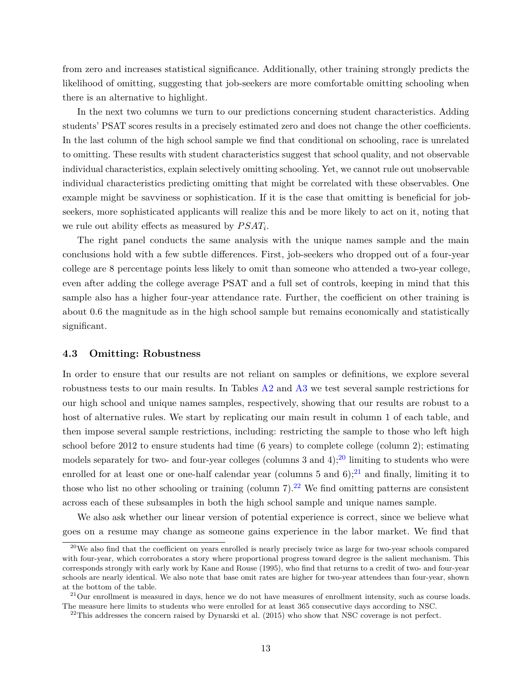from zero and increases statistical significance. Additionally, other training strongly predicts the likelihood of omitting, suggesting that job-seekers are more comfortable omitting schooling when there is an alternative to highlight.

In the next two columns we turn to our predictions concerning student characteristics. Adding students' PSAT scores results in a precisely estimated zero and does not change the other coefficients. In the last column of the high school sample we find that conditional on schooling, race is unrelated to omitting. These results with student characteristics suggest that school quality, and not observable individual characteristics, explain selectively omitting schooling. Yet, we cannot rule out unobservable individual characteristics predicting omitting that might be correlated with these observables. One example might be savviness or sophistication. If it is the case that omitting is beneficial for jobseekers, more sophisticated applicants will realize this and be more likely to act on it, noting that we rule out ability effects as measured by  $PSAT_i$ .

The right panel conducts the same analysis with the unique names sample and the main conclusions hold with a few subtle differences. First, job-seekers who dropped out of a four-year college are 8 percentage points less likely to omit than someone who attended a two-year college, even after adding the college average PSAT and a full set of controls, keeping in mind that this sample also has a higher four-year attendance rate. Further, the coefficient on other training is about 0.6 the magnitude as in the high school sample but remains economically and statistically significant.

#### **4.3 Omitting: Robustness**

In order to ensure that our results are not reliant on samples or definitions, we explore several robustness tests to our main results. In Tables [A2](#page-35-0) and [A3](#page-36-0) we test several sample restrictions for our high school and unique names samples, respectively, showing that our results are robust to a host of alternative rules. We start by replicating our main result in column 1 of each table, and then impose several sample restrictions, including: restricting the sample to those who left high school before 2012 to ensure students had time (6 years) to complete college (column 2); estimating models separately for two- and four-year colleges (columns 3 and  $4$ );<sup>[20](#page-14-0)</sup> limiting to students who were enrolled for at least one or one-half calendar year (columns 5 and 6);<sup>[21](#page-14-1)</sup> and finally, limiting it to those who list no other schooling or training (column  $7$ ).<sup>[22](#page-14-2)</sup> We find omitting patterns are consistent across each of these subsamples in both the high school sample and unique names sample.

We also ask whether our linear version of potential experience is correct, since we believe what goes on a resume may change as someone gains experience in the labor market. We find that

<span id="page-14-0"></span> $20$ We also find that the coefficient on years enrolled is nearly precisely twice as large for two-year schools compared with four-year, which corroborates a story where proportional progress toward degree is the salient mechanism. This corresponds strongly with early work by [Kane and Rouse](#page-24-6) [\(1995\)](#page-24-6), who find that returns to a credit of two- and four-year schools are nearly identical. We also note that base omit rates are higher for two-year attendees than four-year, shown at the bottom of the table.

<span id="page-14-1"></span> $^{21}$ Our enrollment is measured in days, hence we do not have measures of enrollment intensity, such as course loads. The measure here limits to students who were enrolled for at least 365 consecutive days according to NSC.

<span id="page-14-2"></span> $^{22}$ This addresses the concern raised by [Dynarski et al.](#page-23-13) [\(2015\)](#page-23-13) who show that NSC coverage is not perfect.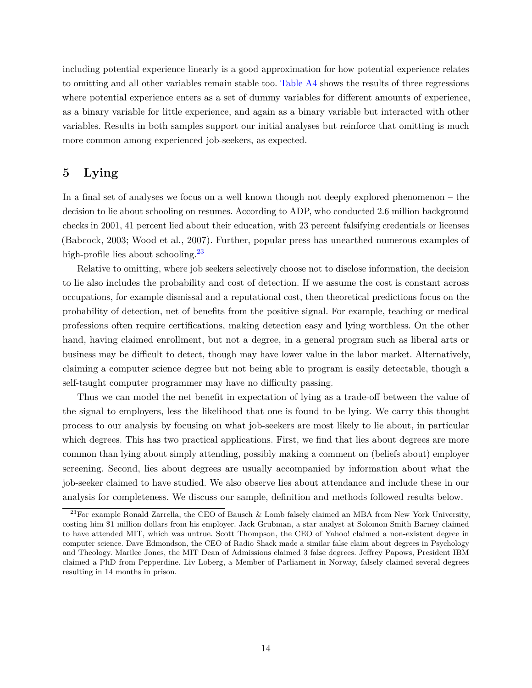including potential experience linearly is a good approximation for how potential experience relates to omitting and all other variables remain stable too. [Table A4](#page-37-0) shows the results of three regressions where potential experience enters as a set of dummy variables for different amounts of experience, as a binary variable for little experience, and again as a binary variable but interacted with other variables. Results in both samples support our initial analyses but reinforce that omitting is much more common among experienced job-seekers, as expected.

## **5 Lying**

In a final set of analyses we focus on a well known though not deeply explored phenomenon – the decision to lie about schooling on resumes. According to ADP, who conducted 2.6 million background checks in 2001, 41 percent lied about their education, with 23 percent falsifying credentials or licenses [\(Babcock, 2003;](#page-23-14) [Wood et al., 2007\)](#page-25-9). Further, popular press has unearthed numerous examples of high-profile lies about schooling.<sup>[23](#page-15-0)</sup>

Relative to omitting, where job seekers selectively choose not to disclose information, the decision to lie also includes the probability and cost of detection. If we assume the cost is constant across occupations, for example dismissal and a reputational cost, then theoretical predictions focus on the probability of detection, net of benefits from the positive signal. For example, teaching or medical professions often require certifications, making detection easy and lying worthless. On the other hand, having claimed enrollment, but not a degree, in a general program such as liberal arts or business may be difficult to detect, though may have lower value in the labor market. Alternatively, claiming a computer science degree but not being able to program is easily detectable, though a self-taught computer programmer may have no difficulty passing.

Thus we can model the net benefit in expectation of lying as a trade-off between the value of the signal to employers, less the likelihood that one is found to be lying. We carry this thought process to our analysis by focusing on what job-seekers are most likely to lie about, in particular which degrees. This has two practical applications. First, we find that lies about degrees are more common than lying about simply attending, possibly making a comment on (beliefs about) employer screening. Second, lies about degrees are usually accompanied by information about what the job-seeker claimed to have studied. We also observe lies about attendance and include these in our analysis for completeness. We discuss our sample, definition and methods followed results below.

<span id="page-15-0"></span><sup>23</sup>For example Ronald Zarrella, the CEO of Bausch & Lomb falsely claimed an MBA from New York University, costing him \$1 million dollars from his employer. Jack Grubman, a star analyst at Solomon Smith Barney claimed to have attended MIT, which was untrue. Scott Thompson, the CEO of Yahoo! claimed a non-existent degree in computer science. Dave Edmondson, the CEO of Radio Shack made a similar false claim about degrees in Psychology and Theology. Marilee Jones, the MIT Dean of Admissions claimed 3 false degrees. Jeffrey Papows, President IBM claimed a PhD from Pepperdine. Liv Loberg, a Member of Parliament in Norway, falsely claimed several degrees resulting in 14 months in prison.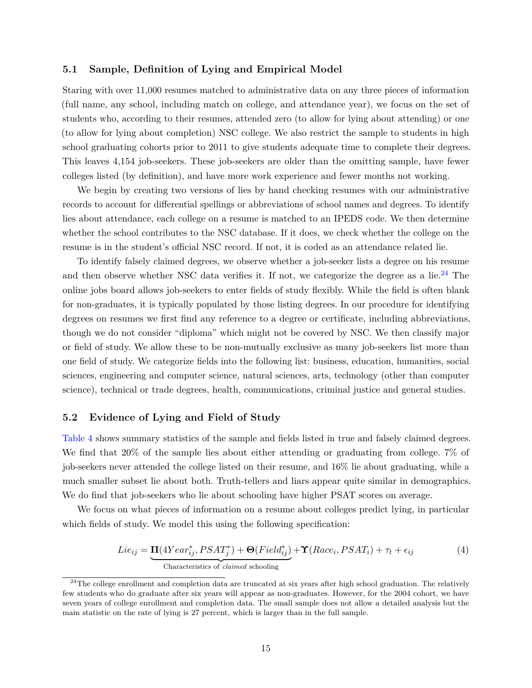### **5.1 Sample, Definition of Lying and Empirical Model**

Staring with over 11,000 resumes matched to administrative data on any three pieces of information (full name, any school, including match on college, and attendance year), we focus on the set of students who, according to their resumes, attended zero (to allow for lying about attending) or one (to allow for lying about completion) NSC college. We also restrict the sample to students in high school graduating cohorts prior to 2011 to give students adequate time to complete their degrees. This leaves 4,154 job-seekers. These job-seekers are older than the omitting sample, have fewer colleges listed (by definition), and have more work experience and fewer months not working.

We begin by creating two versions of lies by hand checking resumes with our administrative records to account for differential spellings or abbreviations of school names and degrees. To identify lies about attendance, each college on a resume is matched to an IPEDS code. We then determine whether the school contributes to the NSC database. If it does, we check whether the college on the resume is in the student's official NSC record. If not, it is coded as an attendance related lie.

To identify falsely claimed degrees, we observe whether a job-seeker lists a degree on his resume and then observe whether NSC data verifies it. If not, we categorize the degree as a lie.<sup>[24](#page-16-0)</sup> The online jobs board allows job-seekers to enter fields of study flexibly. While the field is often blank for non-graduates, it is typically populated by those listing degrees. In our procedure for identifying degrees on resumes we first find any reference to a degree or certificate, including abbreviations, though we do not consider "diploma" which might not be covered by NSC. We then classify major or field of study. We allow these to be non-mutually exclusive as many job-seekers list more than one field of study. We categorize fields into the following list: business, education, humanities, social sciences, engineering and computer science, natural sciences, arts, technology (other than computer science), technical or trade degrees, health, communications, criminal justice and general studies.

#### **5.2 Evidence of Lying and Field of Study**

[Table 4](#page-30-0) shows summary statistics of the sample and fields listed in true and falsely claimed degrees. We find that 20% of the sample lies about either attending or graduating from college. 7% of job-seekers never attended the college listed on their resume, and 16% lie about graduating, while a much smaller subset lie about both. Truth-tellers and liars appear quite similar in demographics. We do find that job-seekers who lie about schooling have higher PSAT scores on average.

We focus on what pieces of information on a resume about colleges predict lying, in particular which fields of study. We model this using the following specification:

<span id="page-16-1"></span>
$$
Lie_{ij} = \underbrace{\Pi(4Year_{ij}^*,PSAT_j^*) + \Theta(Field_{ij}^*)}_{\text{Characteristics of claimed schooling}} + \Upsilon(Race_i,PSAT_i) + \tau_t + \epsilon_{ij}
$$
(4)

<span id="page-16-0"></span> $24$ The college enrollment and completion data are truncated at six years after high school graduation. The relatively few students who do graduate after six years will appear as non-graduates. However, for the 2004 cohort, we have seven years of college enrollment and completion data. The small sample does not allow a detailed analysis but the main statistic on the rate of lying is 27 percent, which is larger than in the full sample.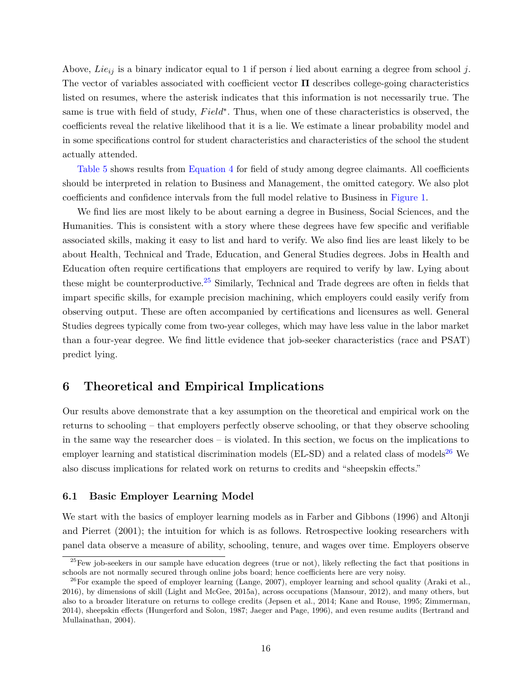Above, *Lieij* is a binary indicator equal to 1 if person *i* lied about earning a degree from school *j*. The vector of variables associated with coefficient vector **Π** describes college-going characteristics listed on resumes, where the asterisk indicates that this information is not necessarily true. The same is true with field of study,  $Field<sup>*</sup>$ . Thus, when one of these characteristics is observed, the coefficients reveal the relative likelihood that it is a lie. We estimate a linear probability model and in some specifications control for student characteristics and characteristics of the school the student actually attended.

[Table 5](#page-31-0) shows results from [Equation 4](#page-16-1) for field of study among degree claimants. All coefficients should be interpreted in relation to Business and Management, the omitted category. We also plot coefficients and confidence intervals from the full model relative to Business in [Figure 1.](#page-26-0)

We find lies are most likely to be about earning a degree in Business, Social Sciences, and the Humanities. This is consistent with a story where these degrees have few specific and verifiable associated skills, making it easy to list and hard to verify. We also find lies are least likely to be about Health, Technical and Trade, Education, and General Studies degrees. Jobs in Health and Education often require certifications that employers are required to verify by law. Lying about these might be counterproductive.<sup>[25](#page-17-0)</sup> Similarly, Technical and Trade degrees are often in fields that impart specific skills, for example precision machining, which employers could easily verify from observing output. These are often accompanied by certifications and licensures as well. General Studies degrees typically come from two-year colleges, which may have less value in the labor market than a four-year degree. We find little evidence that job-seeker characteristics (race and PSAT) predict lying.

## **6 Theoretical and Empirical Implications**

Our results above demonstrate that a key assumption on the theoretical and empirical work on the returns to schooling – that employers perfectly observe schooling, or that they observe schooling in the same way the researcher does – is violated. In this section, we focus on the implications to employer learning and statistical discrimination models ( $EL-SD$ ) and a related class of models<sup>[26](#page-17-1)</sup> We also discuss implications for related work on returns to credits and "sheepskin effects."

## **6.1 Basic Employer Learning Model**

We start with the basics of employer learning models as in [Farber and Gibbons \(1996\)](#page-23-5) and [Altonji](#page-23-6) [and Pierret \(2001\)](#page-23-6); the intuition for which is as follows. Retrospective looking researchers with panel data observe a measure of ability, schooling, tenure, and wages over time. Employers observe

<span id="page-17-0"></span> $25$ Few job-seekers in our sample have education degrees (true or not), likely reflecting the fact that positions in schools are not normally secured through online jobs board; hence coefficients here are very noisy.

<span id="page-17-1"></span> $^{26}$ For example the speed of employer learning [\(Lange, 2007\)](#page-24-12), employer learning and school quality [\(Araki et al.,](#page-23-7) [2016\)](#page-23-7), by dimensions of skill [\(Light and McGee, 2015a\)](#page-24-13), across occupations [\(Mansour, 2012\)](#page-24-15), and many others, but also to a broader literature on returns to college credits [\(Jepsen et al., 2014;](#page-24-5) [Kane and Rouse, 1995;](#page-24-6) [Zimmerman,](#page-25-10) [2014\)](#page-25-10), sheepskin effects [\(Hungerford and Solon, 1987;](#page-24-16) [Jaeger and Page, 1996\)](#page-24-4), and even resume audits [\(Bertrand and](#page-23-15) [Mullainathan, 2004\)](#page-23-15).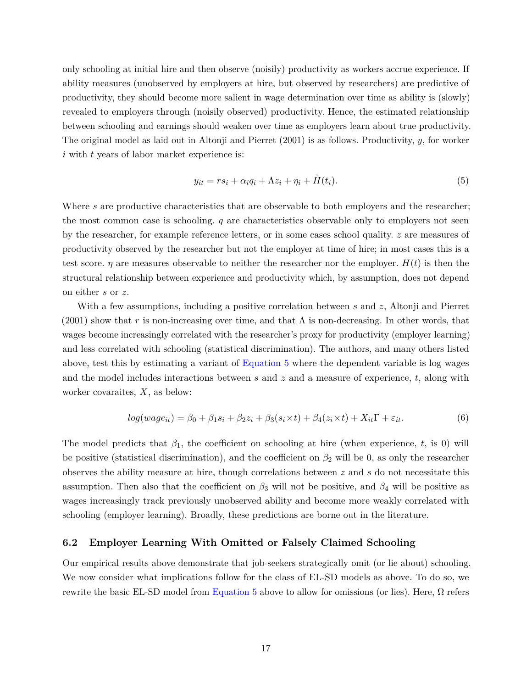only schooling at initial hire and then observe (noisily) productivity as workers accrue experience. If ability measures (unobserved by employers at hire, but observed by researchers) are predictive of productivity, they should become more salient in wage determination over time as ability is (slowly) revealed to employers through (noisily observed) productivity. Hence, the estimated relationship between schooling and earnings should weaken over time as employers learn about true productivity. The original model as laid out in [Altonji and Pierret \(2001\)](#page-23-6) is as follows. Productivity, *y*, for worker *i* with *t* years of labor market experience is:

<span id="page-18-0"></span>
$$
y_{it} = rs_i + \alpha_i q_i + \Lambda z_i + \eta_i + \tilde{H}(t_i). \tag{5}
$$

Where *s* are productive characteristics that are observable to both employers and the researcher; the most common case is schooling. *q* are characteristics observable only to employers not seen by the researcher, for example reference letters, or in some cases school quality. *z* are measures of productivity observed by the researcher but not the employer at time of hire; in most cases this is a test score. *η* are measures observable to neither the researcher nor the employer.  $H(t)$  is then the structural relationship between experience and productivity which, by assumption, does not depend on either *s* or *z*.

With a few assumptions, including a positive correlation between *s* and *z*, [Altonji and Pierret](#page-23-6)  $(2001)$  show that r is non-increasing over time, and that  $\Lambda$  is non-decreasing. In other words, that wages become increasingly correlated with the researcher's proxy for productivity (employer learning) and less correlated with schooling (statistical discrimination). The authors, and many others listed above, test this by estimating a variant of [Equation 5](#page-18-0) where the dependent variable is log wages and the model includes interactions between *s* and *z* and a measure of experience, *t*, along with worker covaraites, *X*, as below:

$$
log(wage_{it}) = \beta_0 + \beta_1 s_i + \beta_2 z_i + \beta_3 (s_i \times t) + \beta_4 (z_i \times t) + X_{it} \Gamma + \varepsilon_{it}.
$$
\n
$$
(6)
$$

The model predicts that  $\beta_1$ , the coefficient on schooling at hire (when experience, t, is 0) will be positive (statistical discrimination), and the coefficient on  $\beta_2$  will be 0, as only the researcher observes the ability measure at hire, though correlations between *z* and *s* do not necessitate this assumption. Then also that the coefficient on  $\beta_3$  will not be positive, and  $\beta_4$  will be positive as wages increasingly track previously unobserved ability and become more weakly correlated with schooling (employer learning). Broadly, these predictions are borne out in the literature.

## **6.2 Employer Learning With Omitted or Falsely Claimed Schooling**

Our empirical results above demonstrate that job-seekers strategically omit (or lie about) schooling. We now consider what implications follow for the class of EL-SD models as above. To do so, we rewrite the basic EL-SD model from [Equation 5](#page-18-0) above to allow for omissions (or lies). Here, Ω refers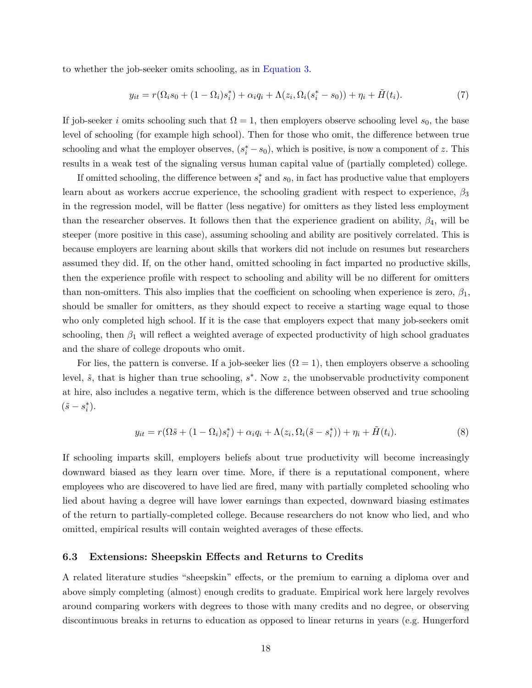to whether the job-seeker omits schooling, as in [Equation 3.](#page-12-2)

$$
y_{it} = r(\Omega_i s_0 + (1 - \Omega_i) s_i^*) + \alpha_i q_i + \Lambda(z_i, \Omega_i (s_i^* - s_0)) + \eta_i + \tilde{H}(t_i).
$$
\n(7)

If job-seeker *i* omits schooling such that  $\Omega = 1$ , then employers observe schooling level  $s_0$ , the base level of schooling (for example high school). Then for those who omit, the difference between true schooling and what the employer observes,  $(s_i^* - s_0)$ , which is positive, is now a component of *z*. This results in a weak test of the signaling versus human capital value of (partially completed) college.

If omitted schooling, the difference between *s* ∗  $i$ <sup>\*</sup>
and  $s_0$ , in fact has productive value that employers learn about as workers accrue experience, the schooling gradient with respect to experience, *β*<sup>3</sup> in the regression model, will be flatter (less negative) for omitters as they listed less employment than the researcher observes. It follows then that the experience gradient on ability,  $\beta_4$ , will be steeper (more positive in this case), assuming schooling and ability are positively correlated. This is because employers are learning about skills that workers did not include on resumes but researchers assumed they did. If, on the other hand, omitted schooling in fact imparted no productive skills, then the experience profile with respect to schooling and ability will be no different for omitters than non-omitters. This also implies that the coefficient on schooling when experience is zero,  $\beta_1$ , should be smaller for omitters, as they should expect to receive a starting wage equal to those who only completed high school. If it is the case that employers expect that many job-seekers omit schooling, then  $\beta_1$  will reflect a weighted average of expected productivity of high school graduates and the share of college dropouts who omit.

For lies, the pattern is converse. If a job-seeker lies  $(\Omega = 1)$ , then employers observe a schooling level,  $\tilde{s}$ , that is higher than true schooling,  $s^*$ . Now z, the unobservable productivity component at hire, also includes a negative term, which is the difference between observed and true schooling  $(\tilde{s} - s_i^*)$ *i* ).

$$
y_{it} = r(\Omega \tilde{s} + (1 - \Omega_i)s_i^*) + \alpha_i q_i + \Lambda(z_i, \Omega_i(\tilde{s} - s_i^*)) + \eta_i + \tilde{H}(t_i). \tag{8}
$$

If schooling imparts skill, employers beliefs about true productivity will become increasingly downward biased as they learn over time. More, if there is a reputational component, where employees who are discovered to have lied are fired, many with partially completed schooling who lied about having a degree will have lower earnings than expected, downward biasing estimates of the return to partially-completed college. Because researchers do not know who lied, and who omitted, empirical results will contain weighted averages of these effects.

#### **6.3 Extensions: Sheepskin Effects and Returns to Credits**

A related literature studies "sheepskin" effects, or the premium to earning a diploma over and above simply completing (almost) enough credits to graduate. Empirical work here largely revolves around comparing workers with degrees to those with many credits and no degree, or observing discontinuous breaks in returns to education as opposed to linear returns in years (e.g. [Hungerford](#page-24-16)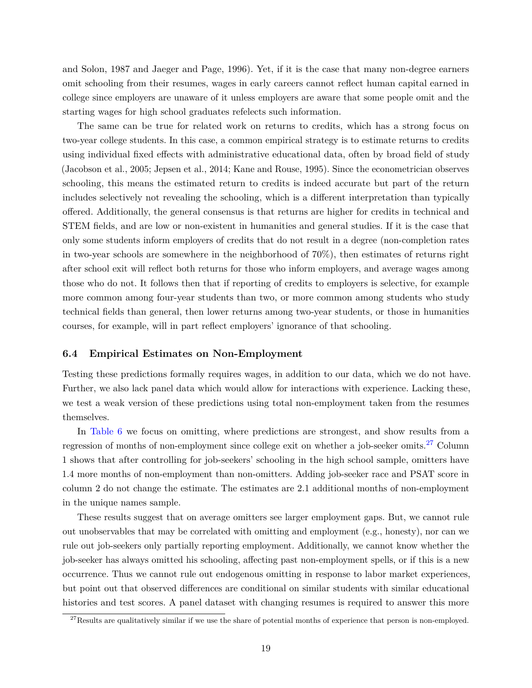[and Solon, 1987](#page-24-16) and [Jaeger and Page, 1996\)](#page-24-4). Yet, if it is the case that many non-degree earners omit schooling from their resumes, wages in early careers cannot reflect human capital earned in college since employers are unaware of it unless employers are aware that some people omit and the starting wages for high school graduates refelects such information.

The same can be true for related work on returns to credits, which has a strong focus on two-year college students. In this case, a common empirical strategy is to estimate returns to credits using individual fixed effects with administrative educational data, often by broad field of study [\(Jacobson et al., 2005;](#page-24-17) [Jepsen et al., 2014;](#page-24-5) [Kane and Rouse, 1995\)](#page-24-6). Since the econometrician observes schooling, this means the estimated return to credits is indeed accurate but part of the return includes selectively not revealing the schooling, which is a different interpretation than typically offered. Additionally, the general consensus is that returns are higher for credits in technical and STEM fields, and are low or non-existent in humanities and general studies. If it is the case that only some students inform employers of credits that do not result in a degree (non-completion rates in two-year schools are somewhere in the neighborhood of  $70\%$ ), then estimates of returns right after school exit will reflect both returns for those who inform employers, and average wages among those who do not. It follows then that if reporting of credits to employers is selective, for example more common among four-year students than two, or more common among students who study technical fields than general, then lower returns among two-year students, or those in humanities courses, for example, will in part reflect employers' ignorance of that schooling.

## **6.4 Empirical Estimates on Non-Employment**

Testing these predictions formally requires wages, in addition to our data, which we do not have. Further, we also lack panel data which would allow for interactions with experience. Lacking these, we test a weak version of these predictions using total non-employment taken from the resumes themselves.

In [Table 6](#page-32-0) we focus on omitting, where predictions are strongest, and show results from a regression of months of non-employment since college exit on whether a job-seeker omits.<sup>[27](#page-20-0)</sup> Column 1 shows that after controlling for job-seekers' schooling in the high school sample, omitters have 1.4 more months of non-employment than non-omitters. Adding job-seeker race and PSAT score in column 2 do not change the estimate. The estimates are 2.1 additional months of non-employment in the unique names sample.

These results suggest that on average omitters see larger employment gaps. But, we cannot rule out unobservables that may be correlated with omitting and employment (e.g., honesty), nor can we rule out job-seekers only partially reporting employment. Additionally, we cannot know whether the job-seeker has always omitted his schooling, affecting past non-employment spells, or if this is a new occurrence. Thus we cannot rule out endogenous omitting in response to labor market experiences, but point out that observed differences are conditional on similar students with similar educational histories and test scores. A panel dataset with changing resumes is required to answer this more

<span id="page-20-0"></span> $27$ Results are qualitatively similar if we use the share of potential months of experience that person is non-employed.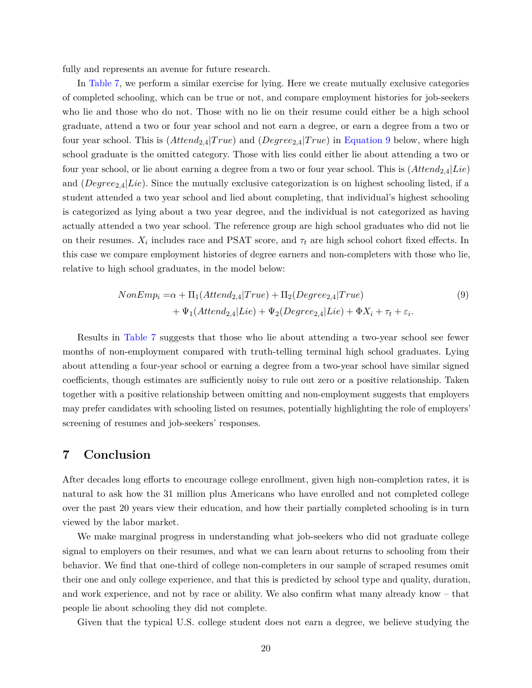fully and represents an avenue for future research.

In [Table 7,](#page-33-0) we perform a similar exercise for lying. Here we create mutually exclusive categories of completed schooling, which can be true or not, and compare employment histories for job-seekers who lie and those who do not. Those with no lie on their resume could either be a high school graduate, attend a two or four year school and not earn a degree, or earn a degree from a two or four year school. This is  $(Attend_{2.4}|True)$  and  $(Degree_{2.4}|True)$  in [Equation 9](#page-21-0) below, where high school graduate is the omitted category. Those with lies could either lie about attending a two or four year school, or lie about earning a degree from a two or four year school. This is (*Attend*2*,*4|*Lie*) and (*Degree*2*,*4|*Lie*). Since the mutually exclusive categorization is on highest schooling listed, if a student attended a two year school and lied about completing, that individual's highest schooling is categorized as lying about a two year degree, and the individual is not categorized as having actually attended a two year school. The reference group are high school graduates who did not lie on their resumes.  $X_i$  includes race and PSAT score, and  $\tau_t$  are high school cohort fixed effects. In this case we compare employment histories of degree earners and non-completers with those who lie, relative to high school graduates, in the model below:

<span id="page-21-0"></span>
$$
NonEmpi = \alpha + \Pi_1(Attend2,4|True) + \Pi_2(Degree2,4|True)
$$
  
+ 
$$
\Psi_1(Attend2,4|Lie) + \Psi_2(Degree2,4|Lie) + \Phi Xi + \taut + \varepsiloni.
$$
 (9)

Results in [Table 7](#page-33-0) suggests that those who lie about attending a two-year school see fewer months of non-employment compared with truth-telling terminal high school graduates. Lying about attending a four-year school or earning a degree from a two-year school have similar signed coefficients, though estimates are sufficiently noisy to rule out zero or a positive relationship. Taken together with a positive relationship between omitting and non-employment suggests that employers may prefer candidates with schooling listed on resumes, potentially highlighting the role of employers' screening of resumes and job-seekers' responses.

## **7 Conclusion**

After decades long efforts to encourage college enrollment, given high non-completion rates, it is natural to ask how the 31 million plus Americans who have enrolled and not completed college over the past 20 years view their education, and how their partially completed schooling is in turn viewed by the labor market.

We make marginal progress in understanding what job-seekers who did not graduate college signal to employers on their resumes, and what we can learn about returns to schooling from their behavior. We find that one-third of college non-completers in our sample of scraped resumes omit their one and only college experience, and that this is predicted by school type and quality, duration, and work experience, and not by race or ability. We also confirm what many already know – that people lie about schooling they did not complete.

Given that the typical U.S. college student does not earn a degree, we believe studying the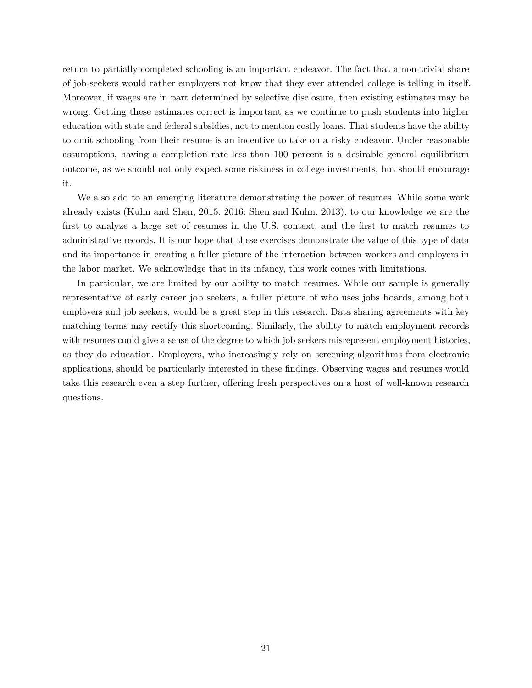return to partially completed schooling is an important endeavor. The fact that a non-trivial share of job-seekers would rather employers not know that they ever attended college is telling in itself. Moreover, if wages are in part determined by selective disclosure, then existing estimates may be wrong. Getting these estimates correct is important as we continue to push students into higher education with state and federal subsidies, not to mention costly loans. That students have the ability to omit schooling from their resume is an incentive to take on a risky endeavor. Under reasonable assumptions, having a completion rate less than 100 percent is a desirable general equilibrium outcome, as we should not only expect some riskiness in college investments, but should encourage it.

We also add to an emerging literature demonstrating the power of resumes. While some work already exists [\(Kuhn and Shen, 2015,](#page-24-10) [2016;](#page-24-11) [Shen and Kuhn, 2013\)](#page-25-4), to our knowledge we are the first to analyze a large set of resumes in the U.S. context, and the first to match resumes to administrative records. It is our hope that these exercises demonstrate the value of this type of data and its importance in creating a fuller picture of the interaction between workers and employers in the labor market. We acknowledge that in its infancy, this work comes with limitations.

In particular, we are limited by our ability to match resumes. While our sample is generally representative of early career job seekers, a fuller picture of who uses jobs boards, among both employers and job seekers, would be a great step in this research. Data sharing agreements with key matching terms may rectify this shortcoming. Similarly, the ability to match employment records with resumes could give a sense of the degree to which job seekers misrepresent employment histories, as they do education. Employers, who increasingly rely on screening algorithms from electronic applications, should be particularly interested in these findings. Observing wages and resumes would take this research even a step further, offering fresh perspectives on a host of well-known research questions.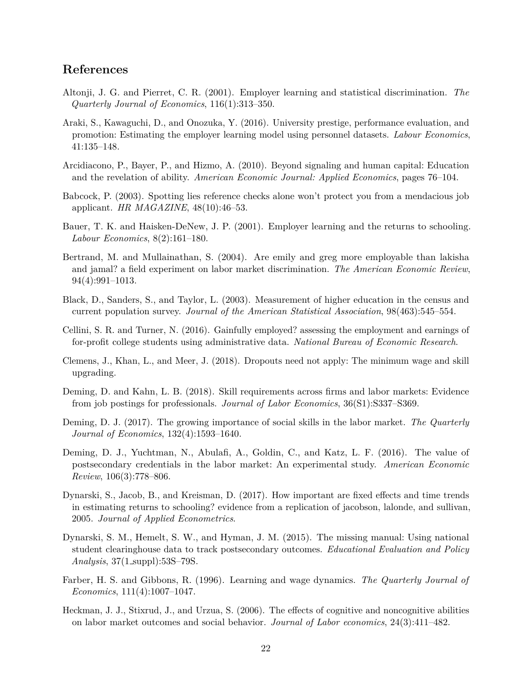## **References**

- <span id="page-23-6"></span>Altonji, J. G. and Pierret, C. R. (2001). Employer learning and statistical discrimination. *The Quarterly Journal of Economics*, 116(1):313–350.
- <span id="page-23-7"></span>Araki, S., Kawaguchi, D., and Onozuka, Y. (2016). University prestige, performance evaluation, and promotion: Estimating the employer learning model using personnel datasets. *Labour Economics*, 41:135–148.
- <span id="page-23-8"></span>Arcidiacono, P., Bayer, P., and Hizmo, A. (2010). Beyond signaling and human capital: Education and the revelation of ability. *American Economic Journal: Applied Economics*, pages 76–104.
- <span id="page-23-14"></span>Babcock, P. (2003). Spotting lies reference checks alone won't protect you from a mendacious job applicant. *HR MAGAZINE*, 48(10):46–53.
- <span id="page-23-9"></span>Bauer, T. K. and Haisken-DeNew, J. P. (2001). Employer learning and the returns to schooling. *Labour Economics*, 8(2):161–180.
- <span id="page-23-15"></span>Bertrand, M. and Mullainathan, S. (2004). Are emily and greg more employable than lakisha and jamal? a field experiment on labor market discrimination. *The American Economic Review*, 94(4):991–1013.
- <span id="page-23-11"></span>Black, D., Sanders, S., and Taylor, L. (2003). Measurement of higher education in the census and current population survey. *Journal of the American Statistical Association*, 98(463):545–554.
- <span id="page-23-0"></span>Cellini, S. R. and Turner, N. (2016). Gainfully employed? assessing the employment and earnings of for-profit college students using administrative data. *National Bureau of Economic Research*.
- <span id="page-23-4"></span>Clemens, J., Khan, L., and Meer, J. (2018). Dropouts need not apply: The minimum wage and skill upgrading.
- <span id="page-23-12"></span>Deming, D. and Kahn, L. B. (2018). Skill requirements across firms and labor markets: Evidence from job postings for professionals. *Journal of Labor Economics*, 36(S1):S337–S369.
- <span id="page-23-3"></span>Deming, D. J. (2017). The growing importance of social skills in the labor market. *The Quarterly Journal of Economics*, 132(4):1593–1640.
- <span id="page-23-1"></span>Deming, D. J., Yuchtman, N., Abulafi, A., Goldin, C., and Katz, L. F. (2016). The value of postsecondary credentials in the labor market: An experimental study. *American Economic Review*, 106(3):778–806.
- <span id="page-23-10"></span>Dynarski, S., Jacob, B., and Kreisman, D. (2017). How important are fixed effects and time trends in estimating returns to schooling? evidence from a replication of jacobson, lalonde, and sullivan, 2005. *Journal of Applied Econometrics*.
- <span id="page-23-13"></span>Dynarski, S. M., Hemelt, S. W., and Hyman, J. M. (2015). The missing manual: Using national student clearinghouse data to track postsecondary outcomes. *Educational Evaluation and Policy Analysis*, 37(1 suppl):53S–79S.
- <span id="page-23-5"></span>Farber, H. S. and Gibbons, R. (1996). Learning and wage dynamics. *The Quarterly Journal of Economics*, 111(4):1007–1047.
- <span id="page-23-2"></span>Heckman, J. J., Stixrud, J., and Urzua, S. (2006). The effects of cognitive and noncognitive abilities on labor market outcomes and social behavior. *Journal of Labor economics*, 24(3):411–482.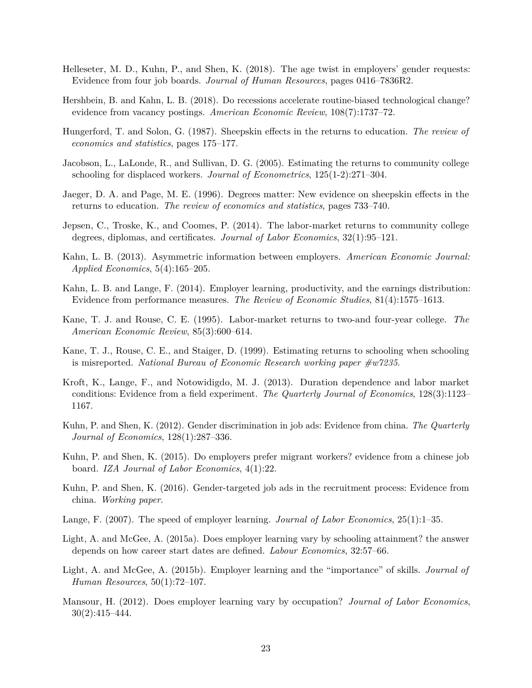- <span id="page-24-8"></span>Helleseter, M. D., Kuhn, P., and Shen, K. (2018). The age twist in employers' gender requests: Evidence from four job boards. *Journal of Human Resources*, pages 0416–7836R2.
- <span id="page-24-0"></span>Hershbein, B. and Kahn, L. B. (2018). Do recessions accelerate routine-biased technological change? evidence from vacancy postings. *American Economic Review*, 108(7):1737–72.
- <span id="page-24-16"></span>Hungerford, T. and Solon, G. (1987). Sheepskin effects in the returns to education. *The review of economics and statistics*, pages 175–177.
- <span id="page-24-17"></span>Jacobson, L., LaLonde, R., and Sullivan, D. G. (2005). Estimating the returns to community college schooling for displaced workers. *Journal of Econometrics*, 125(1-2):271–304.
- <span id="page-24-4"></span>Jaeger, D. A. and Page, M. E. (1996). Degrees matter: New evidence on sheepskin effects in the returns to education. *The review of economics and statistics*, pages 733–740.
- <span id="page-24-5"></span>Jepsen, C., Troske, K., and Coomes, P. (2014). The labor-market returns to community college degrees, diplomas, and certificates. *Journal of Labor Economics*, 32(1):95–121.
- <span id="page-24-2"></span>Kahn, L. B. (2013). Asymmetric information between employers. *American Economic Journal: Applied Economics*, 5(4):165–205.
- <span id="page-24-3"></span>Kahn, L. B. and Lange, F. (2014). Employer learning, productivity, and the earnings distribution: Evidence from performance measures. *The Review of Economic Studies*, 81(4):1575–1613.
- <span id="page-24-6"></span>Kane, T. J. and Rouse, C. E. (1995). Labor-market returns to two-and four-year college. *The American Economic Review*, 85(3):600–614.
- <span id="page-24-7"></span>Kane, T. J., Rouse, C. E., and Staiger, D. (1999). Estimating returns to schooling when schooling is misreported. *National Bureau of Economic Research working paper #w7235*.
- <span id="page-24-1"></span>Kroft, K., Lange, F., and Notowidigdo, M. J. (2013). Duration dependence and labor market conditions: Evidence from a field experiment. *The Quarterly Journal of Economics*, 128(3):1123– 1167.
- <span id="page-24-9"></span>Kuhn, P. and Shen, K. (2012). Gender discrimination in job ads: Evidence from china. *The Quarterly Journal of Economics*, 128(1):287–336.
- <span id="page-24-10"></span>Kuhn, P. and Shen, K. (2015). Do employers prefer migrant workers? evidence from a chinese job board. *IZA Journal of Labor Economics*, 4(1):22.
- <span id="page-24-11"></span>Kuhn, P. and Shen, K. (2016). Gender-targeted job ads in the recruitment process: Evidence from china. *Working paper*.
- <span id="page-24-12"></span>Lange, F. (2007). The speed of employer learning. *Journal of Labor Economics*, 25(1):1–35.
- <span id="page-24-13"></span>Light, A. and McGee, A. (2015a). Does employer learning vary by schooling attainment? the answer depends on how career start dates are defined. *Labour Economics*, 32:57–66.
- <span id="page-24-14"></span>Light, A. and McGee, A. (2015b). Employer learning and the "importance" of skills. *Journal of Human Resources*, 50(1):72–107.
- <span id="page-24-15"></span>Mansour, H. (2012). Does employer learning vary by occupation? *Journal of Labor Economics*, 30(2):415–444.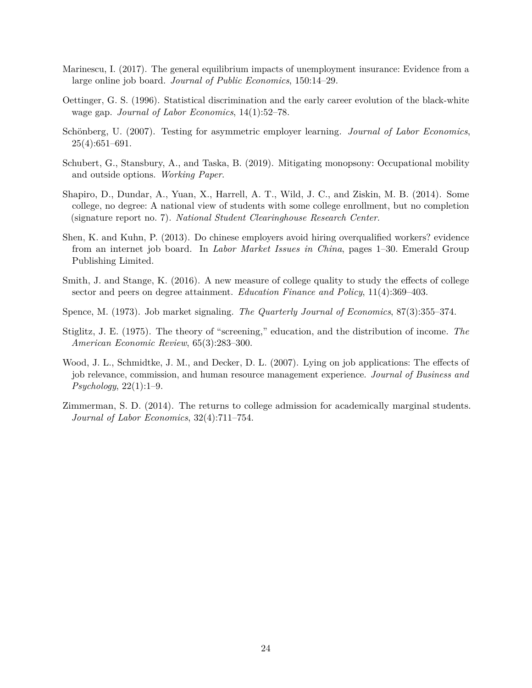- <span id="page-25-3"></span>Marinescu, I. (2017). The general equilibrium impacts of unemployment insurance: Evidence from a large online job board. *Journal of Public Economics*, 150:14–29.
- <span id="page-25-6"></span>Oettinger, G. S. (1996). Statistical discrimination and the early career evolution of the black-white wage gap. *Journal of Labor Economics*, 14(1):52–78.
- <span id="page-25-7"></span>Schönberg, U. (2007). Testing for asymmetric employer learning. *Journal of Labor Economics*,  $25(4):651-691.$
- <span id="page-25-5"></span>Schubert, G., Stansbury, A., and Taska, B. (2019). Mitigating monopsony: Occupational mobility and outside options. *Working Paper*.
- <span id="page-25-2"></span>Shapiro, D., Dundar, A., Yuan, X., Harrell, A. T., Wild, J. C., and Ziskin, M. B. (2014). Some college, no degree: A national view of students with some college enrollment, but no completion (signature report no. 7). *National Student Clearinghouse Research Center*.
- <span id="page-25-4"></span>Shen, K. and Kuhn, P. (2013). Do chinese employers avoid hiring overqualified workers? evidence from an internet job board. In *Labor Market Issues in China*, pages 1–30. Emerald Group Publishing Limited.
- <span id="page-25-8"></span>Smith, J. and Stange, K. (2016). A new measure of college quality to study the effects of college sector and peers on degree attainment. *Education Finance and Policy*, 11(4):369–403.
- <span id="page-25-0"></span>Spence, M. (1973). Job market signaling. *The Quarterly Journal of Economics*, 87(3):355–374.
- <span id="page-25-1"></span>Stiglitz, J. E. (1975). The theory of "screening," education, and the distribution of income. *The American Economic Review*, 65(3):283–300.
- <span id="page-25-9"></span>Wood, J. L., Schmidtke, J. M., and Decker, D. L. (2007). Lying on job applications: The effects of job relevance, commission, and human resource management experience. *Journal of Business and Psychology*, 22(1):1–9.
- <span id="page-25-10"></span>Zimmerman, S. D. (2014). The returns to college admission for academically marginal students. *Journal of Labor Economics*, 32(4):711–754.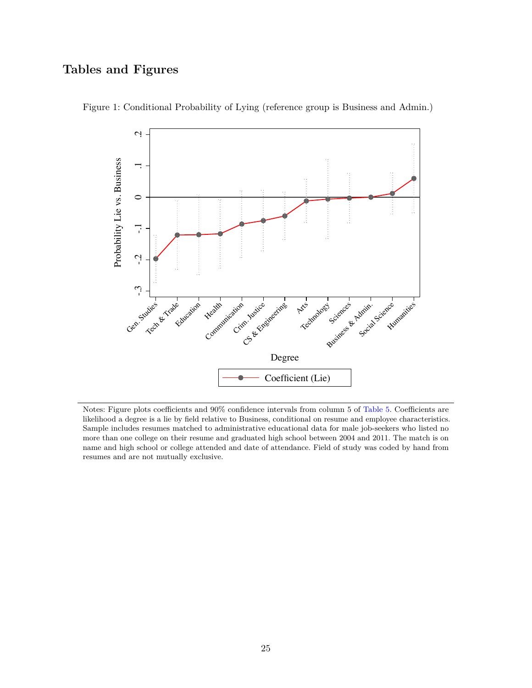## **Tables and Figures**

<span id="page-26-0"></span>

Figure 1: Conditional Probability of Lying (reference group is Business and Admin.)

Notes: Figure plots coefficients and 90% confidence intervals from column 5 of [Table 5.](#page-31-0) Coefficients are likelihood a degree is a lie by field relative to Business, conditional on resume and employee characteristics. Sample includes resumes matched to administrative educational data for male job-seekers who listed no more than one college on their resume and graduated high school between 2004 and 2011. The match is on name and high school or college attended and date of attendance. Field of study was coded by hand from resumes and are not mutually exclusive.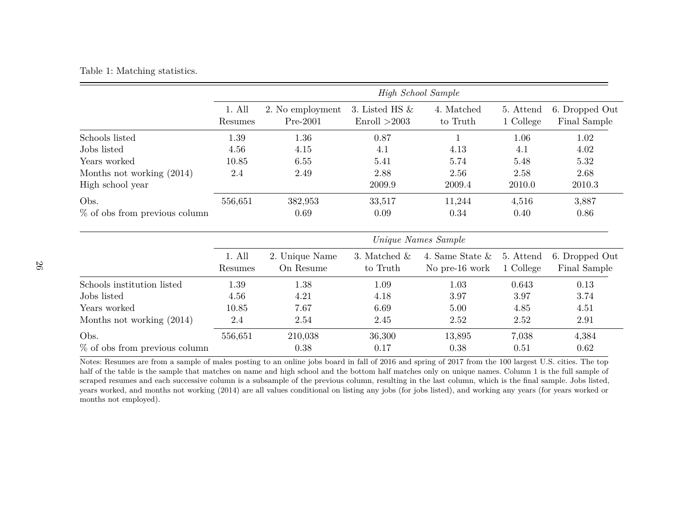## <span id="page-27-0"></span>Table 1: Matching statistics.

|                                  |                     |                                |                                   | High School Sample                   |                        |                                |  |
|----------------------------------|---------------------|--------------------------------|-----------------------------------|--------------------------------------|------------------------|--------------------------------|--|
|                                  | 1. All<br>Resumes   | 2. No employment<br>$Pre-2001$ | 3. Listed HS $&$<br>Enroll > 2003 | 4. Matched<br>to Truth               | 5. Attend<br>1 College | 6. Dropped Out<br>Final Sample |  |
| Schools listed                   | 1.39                | 1.36                           | 0.87                              |                                      | 1.06                   | 1.02                           |  |
| Jobs listed                      | 4.56                | 4.15                           | 4.1                               | 4.13                                 | 4.1                    | 4.02                           |  |
| Years worked                     | 10.85               | 6.55                           | 5.41                              | 5.74                                 | 5.48                   | 5.32                           |  |
| Months not working (2014)        | 2.4                 | 2.49                           | 2.88                              | 2.56                                 | 2.58                   | 2.68                           |  |
| High school year                 |                     |                                | 2009.9                            | 2009.4                               | 2010.0                 | 2010.3                         |  |
| Obs.                             | 556,651             | 382,953                        | 33,517                            | 11,244                               | 4,516                  | 3,887                          |  |
| $%$ of obs from previous column  |                     | 0.69                           | 0.09                              | 0.34                                 | 0.40                   | 0.86                           |  |
|                                  | Unique Names Sample |                                |                                   |                                      |                        |                                |  |
|                                  | 1. All<br>Resumes   | 2. Unique Name<br>On Resume    | 3. Matched $\&$<br>to Truth       | 4. Same State $\&$<br>No pre-16 work | 5. Attend<br>1 College | 6. Dropped Out<br>Final Sample |  |
| Schools institution listed       | 1.39                | 1.38                           | 1.09                              | 1.03                                 | 0.643                  | 0.13                           |  |
| Jobs listed                      | 4.56                | 4.21                           | 4.18                              | 3.97                                 | 3.97                   | 3.74                           |  |
| Years worked                     | 10.85               | 7.67                           | 6.69                              | 5.00                                 | 4.85                   | 4.51                           |  |
| Months not working (2014)        | 2.4                 | 2.54                           | 2.45                              | 2.52                                 | 2.52                   | 2.91                           |  |
| Obs.                             | 556,651             | 210,038                        | 36,300                            | 13,895                               | 7,038                  | 4,384                          |  |
| $\%$ of obs from previous column |                     | 0.38                           | 0.17                              | 0.38                                 | 0.51                   | 0.62                           |  |

Notes: Resumes are from a sample of males posting to an online jobs board in fall of 2016 and spring of 2017 from the 100 largest U.S. cities. The top half of the table is the sample that matches on name and high school and the bottom half matches only on unique names. Column 1 is the full sample of scraped resumes and each successive column is a subsample of the previous column, resulting in the last column, which is the final sample. Jobs listed, years worked, and months not working (2014) are all values conditional on listing any jobs (for jobs listed), and working any years (for years worked or months not employed).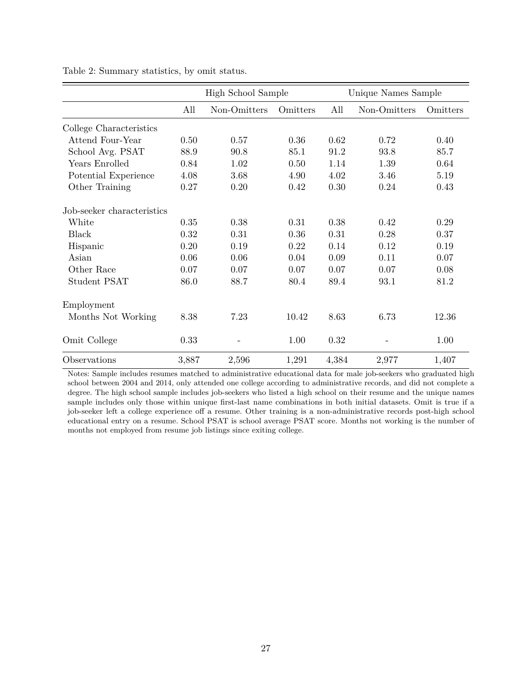|                            |       | High School Sample |          |       | Unique Names Sample |          |  |  |
|----------------------------|-------|--------------------|----------|-------|---------------------|----------|--|--|
|                            | All   | Non-Omitters       | Omitters | All   | Non-Omitters        | Omitters |  |  |
| College Characteristics    |       |                    |          |       |                     |          |  |  |
| Attend Four-Year           | 0.50  | 0.57               | 0.36     | 0.62  | 0.72                | 0.40     |  |  |
| School Avg. PSAT           | 88.9  | 90.8               | 85.1     | 91.2  | 93.8                | 85.7     |  |  |
| Years Enrolled             | 0.84  | 1.02               | 0.50     | 1.14  | 1.39                | 0.64     |  |  |
| Potential Experience       | 4.08  | 3.68               | 4.90     | 4.02  | 3.46                | 5.19     |  |  |
| Other Training             | 0.27  | 0.20               | 0.42     | 0.30  | 0.24                | 0.43     |  |  |
| Job-seeker characteristics |       |                    |          |       |                     |          |  |  |
| White                      | 0.35  | 0.38               | 0.31     | 0.38  | 0.42                | 0.29     |  |  |
| <b>Black</b>               | 0.32  | 0.31               | $0.36\,$ | 0.31  | 0.28                | 0.37     |  |  |
| Hispanic                   | 0.20  | 0.19               | 0.22     | 0.14  | 0.12                | 0.19     |  |  |
| Asian                      | 0.06  | 0.06               | 0.04     | 0.09  | 0.11                | 0.07     |  |  |
| Other Race                 | 0.07  | 0.07               | 0.07     | 0.07  | 0.07                | 0.08     |  |  |
| <b>Student PSAT</b>        | 86.0  | 88.7               | 80.4     | 89.4  | 93.1                | 81.2     |  |  |
| Employment                 |       |                    |          |       |                     |          |  |  |
| Months Not Working         | 8.38  | 7.23               | 10.42    | 8.63  | 6.73                | 12.36    |  |  |
| Omit College               | 0.33  | $\qquad \qquad -$  | 1.00     | 0.32  |                     | 1.00     |  |  |
| Observations               | 3,887 | 2,596              | 1,291    | 4,384 | 2,977               | 1,407    |  |  |

<span id="page-28-0"></span>Table 2: Summary statistics, by omit status.

Notes: Sample includes resumes matched to administrative educational data for male job-seekers who graduated high school between 2004 and 2014, only attended one college according to administrative records, and did not complete a degree. The high school sample includes job-seekers who listed a high school on their resume and the unique names sample includes only those within unique first-last name combinations in both initial datasets. Omit is true if a job-seeker left a college experience off a resume. Other training is a non-administrative records post-high school educational entry on a resume. School PSAT is school average PSAT score. Months not working is the number of months not employed from resume job listings since exiting college.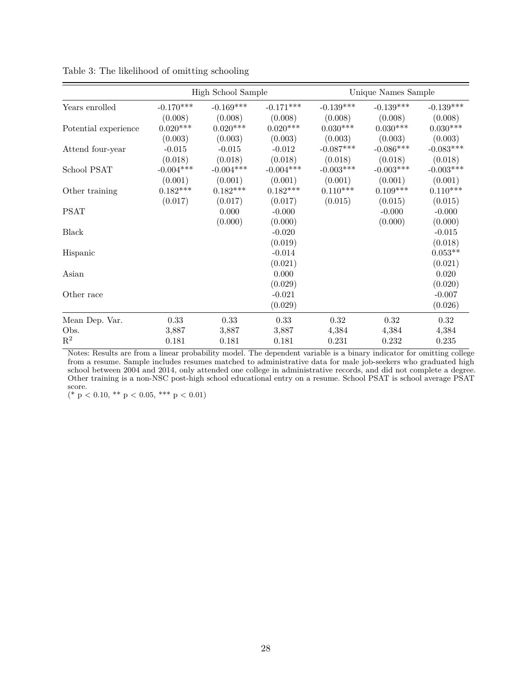|                      | High School Sample |             |             | Unique Names Sample |             |             |  |
|----------------------|--------------------|-------------|-------------|---------------------|-------------|-------------|--|
| Years enrolled       | $-0.170***$        | $-0.169***$ | $-0.171***$ | $-0.139***$         | $-0.139***$ | $-0.139***$ |  |
|                      | (0.008)            | (0.008)     | (0.008)     | (0.008)             | (0.008)     | (0.008)     |  |
| Potential experience | $0.020***$         | $0.020***$  | $0.020***$  | $0.030***$          | $0.030***$  | $0.030***$  |  |
|                      | (0.003)            | (0.003)     | (0.003)     | (0.003)             | (0.003)     | (0.003)     |  |
| Attend four-year     | $-0.015$           | $-0.015$    | $-0.012$    | $-0.087***$         | $-0.086***$ | $-0.083***$ |  |
|                      | (0.018)            | (0.018)     | (0.018)     | (0.018)             | (0.018)     | (0.018)     |  |
| School PSAT          | $-0.004***$        | $-0.004***$ | $-0.004***$ | $-0.003***$         | $-0.003***$ | $-0.003***$ |  |
|                      | (0.001)            | (0.001)     | (0.001)     | (0.001)             | (0.001)     | (0.001)     |  |
| Other training       | $0.182***$         | $0.182***$  | $0.182***$  | $0.110***$          | $0.109***$  | $0.110***$  |  |
|                      | (0.017)            | (0.017)     | (0.017)     | (0.015)             | (0.015)     | (0.015)     |  |
| <b>PSAT</b>          |                    | 0.000       | $-0.000$    |                     | $-0.000$    | $-0.000$    |  |
|                      |                    | (0.000)     | (0.000)     |                     | (0.000)     | (0.000)     |  |
| Black                |                    |             | $-0.020$    |                     |             | $-0.015$    |  |
|                      |                    |             | (0.019)     |                     |             | (0.018)     |  |
| Hispanic             |                    |             | $-0.014$    |                     |             | $0.053**$   |  |
|                      |                    |             | (0.021)     |                     |             | (0.021)     |  |
| Asian                |                    |             | 0.000       |                     |             | 0.020       |  |
|                      |                    |             | (0.029)     |                     |             | (0.020)     |  |
| Other race           |                    |             | $-0.021$    |                     |             | $-0.007$    |  |
|                      |                    |             | (0.029)     |                     |             | (0.026)     |  |
| Mean Dep. Var.       | 0.33               | 0.33        | 0.33        | 0.32                | 0.32        | 0.32        |  |
| Obs.                 | 3,887              | 3,887       | 3,887       | 4,384               | 4,384       | 4,384       |  |
| $\mathbf{R}^2$       | 0.181              | 0.181       | 0.181       | 0.231               | 0.232       | 0.235       |  |

<span id="page-29-0"></span>Table 3: The likelihood of omitting schooling

Notes: Results are from a linear probability model. The dependent variable is a binary indicator for omitting college from a resume. Sample includes resumes matched to administrative data for male job-seekers who graduated high school between 2004 and 2014, only attended one college in administrative records, and did not complete a degree. Other training is a non-NSC post-high school educational entry on a resume. School PSAT is school average PSAT score.

 $(* p < 0.10, ** p < 0.05, ** p < 0.01)$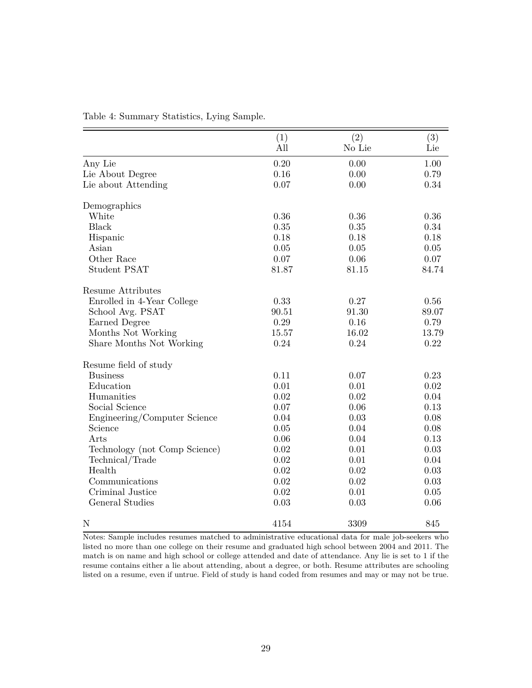|                               | (1)      | (2)    | (3)      |
|-------------------------------|----------|--------|----------|
|                               | All      | No Lie | Lie      |
| Any Lie                       | 0.20     | 0.00   | 1.00     |
| Lie About Degree              | 0.16     | 0.00   | 0.79     |
| Lie about Attending           | 0.07     | 0.00   | 0.34     |
| Demographics                  |          |        |          |
| White                         | 0.36     | 0.36   | 0.36     |
| <b>Black</b>                  | 0.35     | 0.35   | 0.34     |
| Hispanic                      | 0.18     | 0.18   | 0.18     |
| Asian                         | 0.05     | 0.05   | $0.05\,$ |
| Other Race                    | 0.07     | 0.06   | 0.07     |
| <b>Student PSAT</b>           | 81.87    | 81.15  | 84.74    |
| Resume Attributes             |          |        |          |
| Enrolled in 4-Year College    | 0.33     | 0.27   | 0.56     |
| School Avg. PSAT              | 90.51    | 91.30  | 89.07    |
| Earned Degree                 | $0.29\,$ | 0.16   | 0.79     |
| Months Not Working            | 15.57    | 16.02  | 13.79    |
| Share Months Not Working      | 0.24     | 0.24   | 0.22     |
| Resume field of study         |          |        |          |
| <b>Business</b>               | 0.11     | 0.07   | 0.23     |
| Education                     | 0.01     | 0.01   | 0.02     |
| Humanities                    | 0.02     | 0.02   | 0.04     |
| Social Science                | 0.07     | 0.06   | 0.13     |
| Engineering/Computer Science  | 0.04     | 0.03   | 0.08     |
| Science                       | 0.05     | 0.04   | 0.08     |
| Arts                          | 0.06     | 0.04   | 0.13     |
| Technology (not Comp Science) | 0.02     | 0.01   | 0.03     |
| Technical/Trade               | 0.02     | 0.01   | 0.04     |
| Health                        | 0.02     | 0.02   | 0.03     |
| Communications                | 0.02     | 0.02   | 0.03     |
| Criminal Justice              | 0.02     | 0.01   | $0.05\,$ |
| General Studies               | 0.03     | 0.03   | 0.06     |
| N                             | 4154     | 3309   | 845      |

<span id="page-30-0"></span>Table 4: Summary Statistics, Lying Sample.

Notes: Sample includes resumes matched to administrative educational data for male job-seekers who listed no more than one college on their resume and graduated high school between 2004 and 2011. The match is on name and high school or college attended and date of attendance. Any lie is set to 1 if the resume contains either a lie about attending, about a degree, or both. Resume attributes are schooling listed on a resume, even if untrue. Field of study is hand coded from resumes and may or may not be true.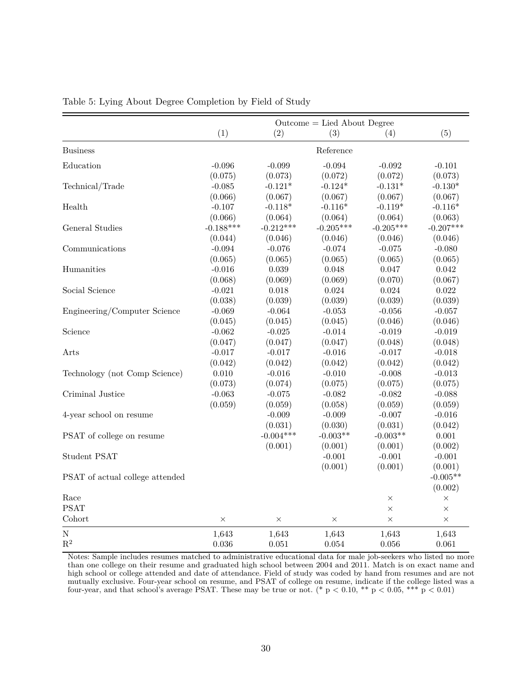|                                 | $Outer = Lied About Degree$ |             |             |             |             |  |  |
|---------------------------------|-----------------------------|-------------|-------------|-------------|-------------|--|--|
|                                 | (1)                         | (2)         | (3)         | (4)         | (5)         |  |  |
| <b>Business</b>                 |                             |             | Reference   |             |             |  |  |
| Education                       | $-0.096$                    | $-0.099$    | $-0.094$    | $-0.092$    | $-0.101$    |  |  |
|                                 | (0.075)                     | (0.073)     | (0.072)     | (0.072)     | (0.073)     |  |  |
| Technical/Trade                 | $-0.085$                    | $-0.121*$   | $-0.124*$   | $-0.131*$   | $-0.130*$   |  |  |
|                                 | (0.066)                     | (0.067)     | (0.067)     | (0.067)     | (0.067)     |  |  |
| Health                          | $-0.107$                    | $-0.118*$   | $-0.116*$   | $-0.119*$   | $-0.116*$   |  |  |
|                                 | (0.066)                     | (0.064)     | (0.064)     | (0.064)     | (0.063)     |  |  |
| General Studies                 | $-0.188***$                 | $-0.212***$ | $-0.205***$ | $-0.205***$ | $-0.207***$ |  |  |
|                                 | (0.044)                     | (0.046)     | (0.046)     | (0.046)     | (0.046)     |  |  |
| Communications                  | $-0.094$                    | $-0.076$    | $-0.074$    | $-0.075$    | $-0.080$    |  |  |
|                                 | (0.065)                     | (0.065)     | (0.065)     | (0.065)     | (0.065)     |  |  |
| Humanities                      | $-0.016$                    | 0.039       | 0.048       | 0.047       | 0.042       |  |  |
|                                 | (0.068)                     | (0.069)     | (0.069)     | (0.070)     | (0.067)     |  |  |
| Social Science                  | $-0.021$                    | 0.018       | 0.024       | 0.024       | 0.022       |  |  |
|                                 | (0.038)                     | (0.039)     | (0.039)     | (0.039)     | (0.039)     |  |  |
| Engineering/Computer Science    | $-0.069$                    | $-0.064$    | $-0.053$    | $-0.056$    | $-0.057$    |  |  |
|                                 | (0.045)                     | (0.045)     | (0.045)     | (0.046)     | (0.046)     |  |  |
| Science                         | $-0.062$                    | $-0.025$    | $-0.014$    | $-0.019$    | $-0.019$    |  |  |
|                                 | (0.047)                     | (0.047)     | (0.047)     | (0.048)     | (0.048)     |  |  |
| Arts                            | $-0.017$                    | $-0.017$    | $-0.016$    | $-0.017$    | $-0.018$    |  |  |
|                                 | (0.042)                     | (0.042)     | (0.042)     | (0.042)     | (0.042)     |  |  |
| Technology (not Comp Science)   | 0.010                       | $-0.016$    | $-0.010$    | $-0.008$    | $-0.013$    |  |  |
|                                 | (0.073)                     | (0.074)     | (0.075)     | (0.075)     | (0.075)     |  |  |
| Criminal Justice                | $-0.063$                    | $-0.075$    | $-0.082$    | $-0.082$    | $-0.088$    |  |  |
|                                 | (0.059)                     | (0.059)     | (0.058)     | (0.059)     | (0.059)     |  |  |
| 4-year school on resume         |                             | $-0.009$    | $-0.009$    | $-0.007$    | $-0.016$    |  |  |
|                                 |                             | (0.031)     | (0.030)     | (0.031)     | (0.042)     |  |  |
| PSAT of college on resume       |                             | $-0.004***$ | $-0.003**$  | $-0.003**$  | 0.001       |  |  |
|                                 |                             | (0.001)     | (0.001)     | (0.001)     | (0.002)     |  |  |
| Student PSAT                    |                             |             | $-0.001$    | $-0.001$    | $-0.001$    |  |  |
|                                 |                             |             | (0.001)     | (0.001)     | (0.001)     |  |  |
| PSAT of actual college attended |                             |             |             |             | $-0.005**$  |  |  |
|                                 |                             |             |             |             | (0.002)     |  |  |
| Race                            |                             |             |             | $\times$    | $\times$    |  |  |
| <b>PSAT</b>                     |                             |             |             | $\times$    | $\times$    |  |  |
| Cohort                          | $\times$                    | $\times$    | $\times$    | $\times$    | $\times$    |  |  |
| ${\bf N}$                       | 1,643                       | 1,643       | 1,643       | 1,643       | 1,643       |  |  |
| $\mathbf{R}^2$                  | 0.036                       | 0.051       | 0.054       | 0.056       | 0.061       |  |  |

<span id="page-31-0"></span>Table 5: Lying About Degree Completion by Field of Study

Notes: Sample includes resumes matched to administrative educational data for male job-seekers who listed no more than one college on their resume and graduated high school between 2004 and 2011. Match is on exact name and high school or college attended and date of attendance. Field of study was coded by hand from resumes and are not mutually exclusive. Four-year school on resume, and PSAT of college on resume, indicate if the college listed was a four-year, and that school's average PSAT. These may be true or not. (\*  $p < 0.10$ , \*\*  $p < 0.05$ , \*\*\*  $p < 0.01$ )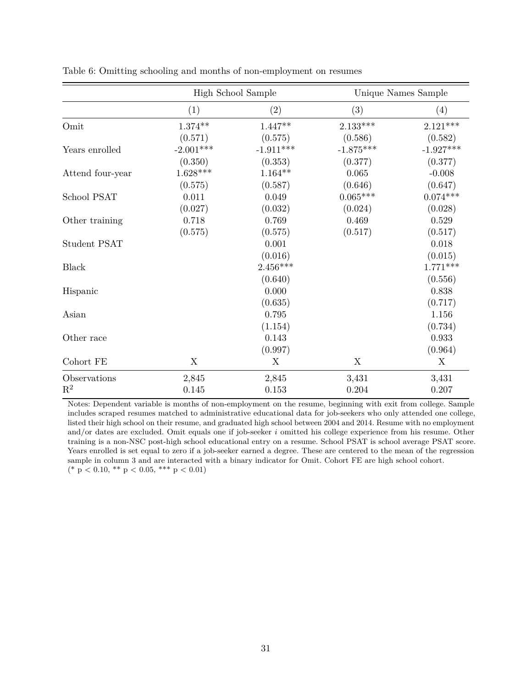|                  |             | High School Sample |             | Unique Names Sample |
|------------------|-------------|--------------------|-------------|---------------------|
|                  | (1)         | (2)                | (3)         | (4)                 |
| Omit             | $1.374**$   | $1.447**$          | $2.133***$  | $2.121***$          |
|                  | (0.571)     | (0.575)            | (0.586)     | (0.582)             |
| Years enrolled   | $-2.001***$ | $-1.911***$        | $-1.875***$ | $-1.927***$         |
|                  | (0.350)     | (0.353)            | (0.377)     | (0.377)             |
| Attend four-year | $1.628***$  | $1.164**$          | 0.065       | $-0.008$            |
|                  | (0.575)     | (0.587)            | (0.646)     | (0.647)             |
| School PSAT      | 0.011       | 0.049              | $0.065***$  | $0.074***$          |
|                  | (0.027)     | (0.032)            | (0.024)     | (0.028)             |
| Other training   | 0.718       | 0.769              | 0.469       | 0.529               |
|                  | (0.575)     | (0.575)            | (0.517)     | (0.517)             |
| Student PSAT     |             | 0.001              |             | 0.018               |
|                  |             | (0.016)            |             | (0.015)             |
| <b>Black</b>     |             | $2.456***$         |             | $1.771***$          |
|                  |             | (0.640)            |             | (0.556)             |
| Hispanic         |             | 0.000              |             | 0.838               |
|                  |             | (0.635)            |             | (0.717)             |
| Asian            |             | 0.795              |             | 1.156               |
|                  |             | (1.154)            |             | (0.734)             |
| Other race       |             | 0.143              |             | 0.933               |
|                  |             | (0.997)            |             | (0.964)             |
| Cohort FE        | X           | X                  | $\mathbf X$ | X                   |
| Observations     | 2,845       | 2,845              | 3,431       | 3,431               |
| $\mathbf{R}^2$   | 0.145       | 0.153              | 0.204       | 0.207               |

<span id="page-32-0"></span>Table 6: Omitting schooling and months of non-employment on resumes

Notes: Dependent variable is months of non-employment on the resume, beginning with exit from college. Sample includes scraped resumes matched to administrative educational data for job-seekers who only attended one college, listed their high school on their resume, and graduated high school between 2004 and 2014. Resume with no employment and/or dates are excluded. Omit equals one if job-seeker *i* omitted his college experience from his resume. Other training is a non-NSC post-high school educational entry on a resume. School PSAT is school average PSAT score. Years enrolled is set equal to zero if a job-seeker earned a degree. These are centered to the mean of the regression sample in column 3 and are interacted with a binary indicator for Omit. Cohort FE are high school cohort.  $(* p < 0.10, ** p < 0.05, ** p < 0.01)$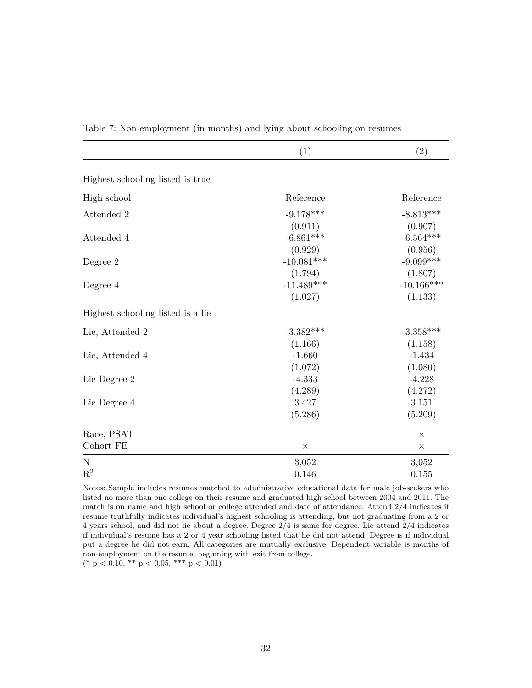|                                   | (1)                     | (2)                     |
|-----------------------------------|-------------------------|-------------------------|
| Highest schooling listed is true  |                         |                         |
| High school                       | Reference               | Reference               |
| Attended 2                        | $-9.178***$<br>(0.911)  | $-8.813***$<br>(0.907)  |
| Attended 4                        | $-6.861***$<br>(0.929)  | $-6.564***$<br>(0.956)  |
| Degree 2                          | $-10.081***$<br>(1.794) | $-9.099***$<br>(1.807)  |
| Degree 4                          | $-11.489***$<br>(1.027) | $-10.166***$<br>(1.133) |
| Highest schooling listed is a lie |                         |                         |
| Lie, Attended 2                   | $-3.382***$<br>(1.166)  | $-3.358***$<br>(1.158)  |
| Lie, Attended 4                   | $-1.660$<br>(1.072)     | $-1.434$<br>(1.080)     |
| Lie Degree 2                      | $-4.333$<br>(4.289)     | $-4.228$<br>(4.272)     |
| Lie Degree 4                      | 3.427<br>(5.286)        | 3.151<br>(5.209)        |
| Race, PSAT                        |                         | $\times$                |
| Cohort FE                         | $\times$                | $\times$                |
| ${\bf N}$                         | 3,052                   | 3,052                   |
| $\mathbf{R}^2$                    | 0.146                   | 0.155                   |

<span id="page-33-0"></span>Table 7: Non-employment (in months) and lying about schooling on resumes

Notes: Sample includes resumes matched to administrative educational data for male job-seekers who listed no more than one college on their resume and graduated high school between 2004 and 2011. The match is on name and high school or college attended and date of attendance. Attend 2/4 indicates if resume truthfully indicates individual's highest schooling is attending, but not graduating from a 2 or 4 years school, and did not lie about a degree. Degree 2/4 is same for degree. Lie attend 2/4 indicates if individual's resume has a 2 or 4 year schooling listed that he did not attend. Degree is if individual put a degree he did not earn. All categories are mutually exclusive. Dependent variable is months of non-employment on the resume, beginning with exit from college.

 $(* p < 0.10, ** p < 0.05, ** p < 0.01)$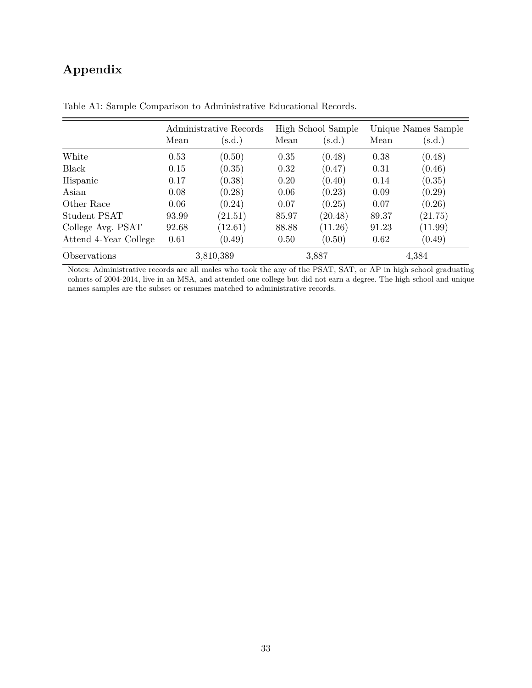## **Appendix**

|                       | Administrative Records |         |       | High School Sample |       | Unique Names Sample |  |
|-----------------------|------------------------|---------|-------|--------------------|-------|---------------------|--|
|                       | Mean                   | (s.d.)  | Mean  | (s.d.)             | Mean  | (s.d.)              |  |
| White                 | 0.53                   | (0.50)  | 0.35  | (0.48)             | 0.38  | (0.48)              |  |
| <b>Black</b>          | 0.15                   | (0.35)  | 0.32  | (0.47)             | 0.31  | (0.46)              |  |
| Hispanic              | 0.17                   | (0.38)  | 0.20  | (0.40)             | 0.14  | (0.35)              |  |
| Asian                 | 0.08                   | (0.28)  | 0.06  | (0.23)             | 0.09  | (0.29)              |  |
| Other Race            | 0.06                   | (0.24)  | 0.07  | (0.25)             | 0.07  | (0.26)              |  |
| Student PSAT          | 93.99                  | (21.51) | 85.97 | (20.48)            | 89.37 | (21.75)             |  |
| College Avg. PSAT     | 92.68                  | (12.61) | 88.88 | (11.26)            | 91.23 | (11.99)             |  |
| Attend 4-Year College | 0.61                   | (0.49)  | 0.50  | (0.50)             | 0.62  | (0.49)              |  |
| Observations          | 3,810,389              |         | 3,887 |                    | 4,384 |                     |  |

<span id="page-34-0"></span>Table A1: Sample Comparison to Administrative Educational Records.

Notes: Administrative records are all males who took the any of the PSAT, SAT, or AP in high school graduating cohorts of 2004-2014, live in an MSA, and attended one college but did not earn a degree. The high school and unique names samples are the subset or resumes matched to administrative records.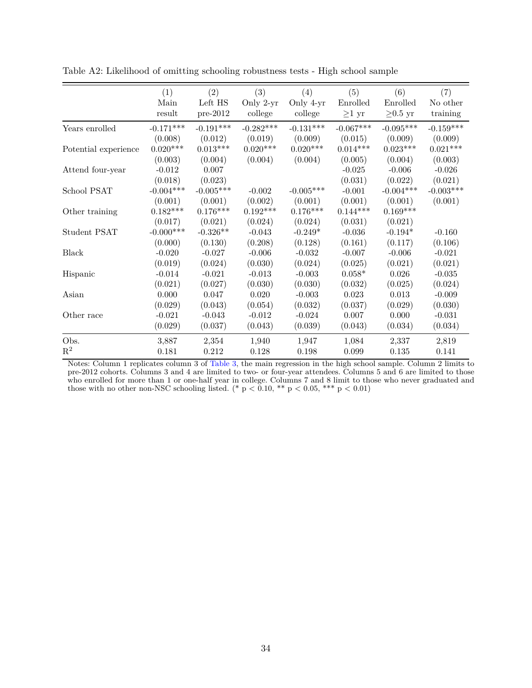|                      | (1)         | (2)         | (3)         | (4)         | (5)         | (6)           | (7)         |
|----------------------|-------------|-------------|-------------|-------------|-------------|---------------|-------------|
|                      | Main        | Left HS     | Only 2-yr   | Only 4-yr   | Enrolled    | Enrolled      | No other    |
|                      | result      | $pre-2012$  | college     | college     | $\geq 1$ yr | $\geq 0.5$ yr | training    |
| Years enrolled       | $-0.171***$ | $-0.191***$ | $-0.282***$ | $-0.131***$ | $-0.067***$ | $-0.095***$   | $-0.159***$ |
|                      | (0.008)     | (0.012)     | (0.019)     | (0.009)     | (0.015)     | (0.009)       | (0.009)     |
| Potential experience | $0.020***$  | $0.013***$  | $0.020***$  | $0.020***$  | $0.014***$  | $0.023***$    | $0.021***$  |
|                      | (0.003)     | (0.004)     | (0.004)     | (0.004)     | (0.005)     | (0.004)       | (0.003)     |
| Attend four-year     | $-0.012$    | 0.007       |             |             | $-0.025$    | $-0.006$      | $-0.026$    |
|                      | (0.018)     | (0.023)     |             |             | (0.031)     | (0.022)       | (0.021)     |
| School PSAT          | $-0.004***$ | $-0.005***$ | $-0.002$    | $-0.005***$ | $-0.001$    | $-0.004***$   | $-0.003***$ |
|                      | (0.001)     | (0.001)     | (0.002)     | (0.001)     | (0.001)     | (0.001)       | (0.001)     |
| Other training       | $0.182***$  | $0.176***$  | $0.192***$  | $0.176***$  | $0.144***$  | $0.169***$    |             |
|                      | (0.017)     | (0.021)     | (0.024)     | (0.024)     | (0.031)     | (0.021)       |             |
| Student PSAT         | $-0.000***$ | $-0.326**$  | $-0.043$    | $-0.249*$   | $-0.036$    | $-0.194*$     | $-0.160$    |
|                      | (0.000)     | (0.130)     | (0.208)     | (0.128)     | (0.161)     | (0.117)       | (0.106)     |
| Black                | $-0.020$    | $-0.027$    | $-0.006$    | $-0.032$    | $-0.007$    | $-0.006$      | $-0.021$    |
|                      | (0.019)     | (0.024)     | (0.030)     | (0.024)     | (0.025)     | (0.021)       | (0.021)     |
| Hispanic             | $-0.014$    | $-0.021$    | $-0.013$    | $-0.003$    | $0.058*$    | 0.026         | $-0.035$    |
|                      | (0.021)     | (0.027)     | (0.030)     | (0.030)     | (0.032)     | (0.025)       | (0.024)     |
| Asian                | 0.000       | 0.047       | 0.020       | $-0.003$    | 0.023       | $0.013\,$     | $-0.009$    |
|                      | (0.029)     | (0.043)     | (0.054)     | (0.032)     | (0.037)     | (0.029)       | (0.030)     |
| Other race           | $-0.021$    | $-0.043$    | $-0.012$    | $-0.024$    | 0.007       | 0.000         | $-0.031$    |
|                      | (0.029)     | (0.037)     | (0.043)     | (0.039)     | (0.043)     | (0.034)       | (0.034)     |
| Obs.                 | 3,887       | 2,354       | 1,940       | 1,947       | 1,084       | 2,337         | 2,819       |
| $\mathbf{R}^2$       | 0.181       | 0.212       | 0.128       | 0.198       | 0.099       | $0.135\,$     | 0.141       |

<span id="page-35-0"></span>Table A2: Likelihood of omitting schooling robustness tests - High school sample

Notes: Column 1 replicates column 3 of [Table 3,](#page-29-0) the main regression in the high school sample. Column 2 limits to pre-2012 cohorts. Columns 3 and 4 are limited to two- or four-year attendees. Columns 5 and 6 are limited to those who enrolled for more than 1 or one-half year in college. Columns 7 and 8 limit to those who never graduated and those with no other non-NSC schooling listed. (\*  $p < 0.10$ , \*\*  $p < 0.05$ , \*\*\*  $p < 0.01$ )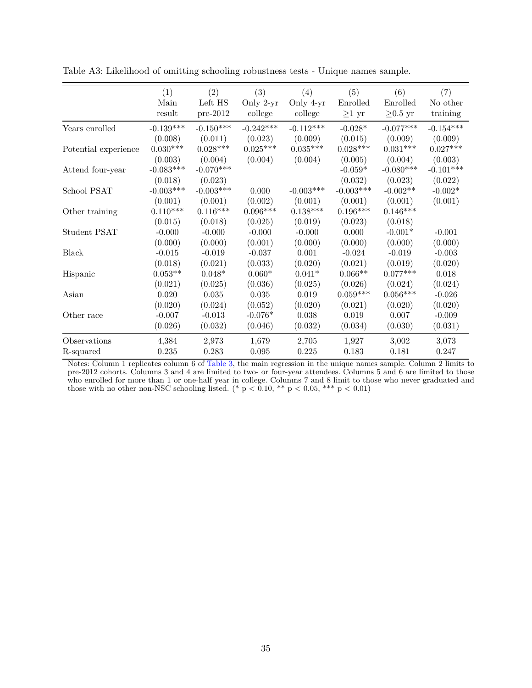|                      | (1)         | (2)         | (3)         | (4)             | (5)             | (6)           | (7)         |
|----------------------|-------------|-------------|-------------|-----------------|-----------------|---------------|-------------|
|                      | Main        | Left HS     | Only 2-yr   | Only 4-yr       | Enrolled        | Enrolled      | No other    |
|                      | result      | $pre-2012$  | college     | college         | $\geq1$ yr      | $\geq 0.5$ yr | training    |
| Years enrolled       | $-0.139***$ | $-0.150***$ | $-0.242***$ | $-0.112***$     | $-0.028*$       | $-0.077***$   | $-0.154***$ |
|                      | (0.008)     | (0.011)     | (0.023)     | (0.009)         | (0.015)         | (0.009)       | (0.009)     |
| Potential experience | $0.030***$  | $0.028***$  | $0.025***$  | $0.035^{***}\,$ | $0.028^{***}\,$ | $0.031***$    | $0.027***$  |
|                      | (0.003)     | (0.004)     | (0.004)     | (0.004)         | (0.005)         | (0.004)       | (0.003)     |
| Attend four-year     | $-0.083***$ | $-0.070***$ |             |                 | $-0.059*$       | $-0.080***$   | $-0.101***$ |
|                      | (0.018)     | (0.023)     |             |                 | (0.032)         | (0.023)       | (0.022)     |
| School PSAT          | $-0.003***$ | $-0.003***$ | 0.000       | $-0.003***$     | $-0.003***$     | $-0.002**$    | $-0.002*$   |
|                      | (0.001)     | (0.001)     | (0.002)     | (0.001)         | (0.001)         | (0.001)       | (0.001)     |
| Other training       | $0.110***$  | $0.116***$  | $0.096***$  | $0.138***$      | $0.196***$      | $0.146***$    |             |
|                      | (0.015)     | (0.018)     | (0.025)     | (0.019)         | (0.023)         | (0.018)       |             |
| Student PSAT         | $-0.000$    | $-0.000$    | $-0.000$    | $-0.000$        | 0.000           | $-0.001*$     | $-0.001$    |
|                      | (0.000)     | (0.000)     | (0.001)     | (0.000)         | (0.000)         | (0.000)       | (0.000)     |
| Black                | $-0.015$    | $-0.019$    | $-0.037$    | 0.001           | $-0.024$        | $-0.019$      | $-0.003$    |
|                      | (0.018)     | (0.021)     | (0.033)     | (0.020)         | (0.021)         | (0.019)       | (0.020)     |
| Hispanic             | $0.053**$   | $0.048*$    | $0.060*$    | $0.041*$        | $0.066**$       | $0.077***$    | 0.018       |
|                      | (0.021)     | (0.025)     | (0.036)     | (0.025)         | (0.026)         | (0.024)       | (0.024)     |
| Asian                | 0.020       | $0.035\,$   | $\,0.035\,$ | 0.019           | $0.059***$      | $0.056***$    | $-0.026$    |
|                      | (0.020)     | (0.024)     | (0.052)     | (0.020)         | (0.021)         | (0.020)       | (0.020)     |
| Other race           | $-0.007$    | $-0.013$    | $-0.076*$   | 0.038           | 0.019           | 0.007         | $-0.009$    |
|                      | (0.026)     | (0.032)     | (0.046)     | (0.032)         | (0.034)         | (0.030)       | (0.031)     |
| Observations         | 4,384       | 2,973       | 1,679       | 2,705           | 1,927           | 3,002         | 3,073       |
| R-squared            | 0.235       | 0.283       | 0.095       | 0.225           | 0.183           | 0.181         | 0.247       |

<span id="page-36-0"></span>Table A3: Likelihood of omitting schooling robustness tests - Unique names sample.

Notes: Column 1 replicates column 6 of [Table 3,](#page-29-0) the main regression in the unique names sample. Column 2 limits to pre-2012 cohorts. Columns 3 and 4 are limited to two- or four-year attendees. Columns 5 and 6 are limited to those who enrolled for more than 1 or one-half year in college. Columns 7 and 8 limit to those who never graduated and those with no other non-NSC schooling listed. (\*  $p < 0.10$ , \*\*  $p < 0.05$ , \*\*\*  $p < 0.01$ )